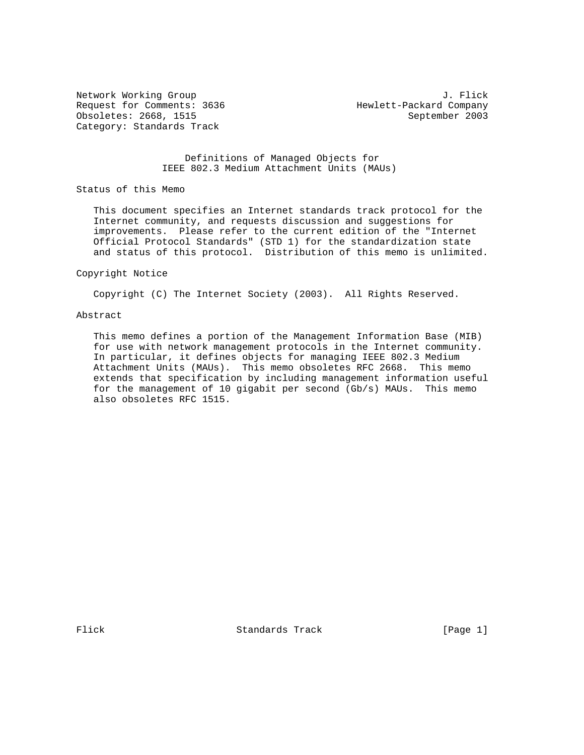Request for Comments: 3636 Hewlett-Packard Company Obsoletes: 2668, 1515 September 2003 Category: Standards Track

Network Working Group 3. The Second Second Second Second Second Second Second Second Second Second Second Second Second Second Second Second Second Second Second Second Second Second Second Second Second Second Second Seco

## Definitions of Managed Objects for IEEE 802.3 Medium Attachment Units (MAUs)

Status of this Memo

 This document specifies an Internet standards track protocol for the Internet community, and requests discussion and suggestions for improvements. Please refer to the current edition of the "Internet Official Protocol Standards" (STD 1) for the standardization state and status of this protocol. Distribution of this memo is unlimited.

#### Copyright Notice

Copyright (C) The Internet Society (2003). All Rights Reserved.

#### Abstract

 This memo defines a portion of the Management Information Base (MIB) for use with network management protocols in the Internet community. In particular, it defines objects for managing IEEE 802.3 Medium Attachment Units (MAUs). This memo obsoletes RFC 2668. This memo extends that specification by including management information useful for the management of 10 gigabit per second (Gb/s) MAUs. This memo also obsoletes RFC 1515.

Flick Standards Track [Page 1]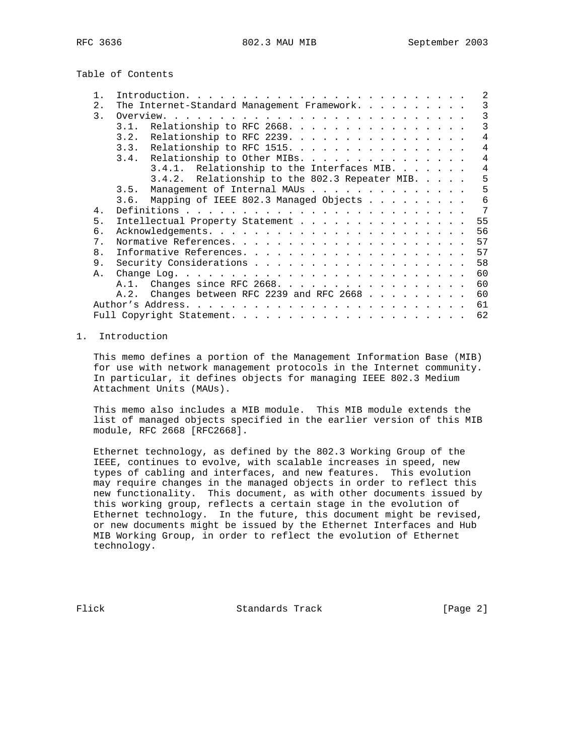Table of Contents

|                | 2                                                            |
|----------------|--------------------------------------------------------------|
| $2$ .          | The Internet-Standard Management Framework.<br>3             |
| 3.             | 3                                                            |
|                | Relationship to RFC 2668.<br>3<br>3.1.                       |
|                | $\overline{4}$<br>Relationship to RFC 2239.<br>3.2.          |
|                | 3.3. Relationship to RFC 1515.<br>4                          |
|                | $\overline{4}$<br>3.4. Relationship to Other MIBs.           |
|                | $\overline{4}$<br>3.4.1. Relationship to the Interfaces MIB. |
|                | 3.4.2. Relationship to the 802.3 Repeater MIB.<br>5          |
|                | 5<br>Management of Internal MAUs<br>3.5.                     |
|                | 3.6. Mapping of IEEE 802.3 Managed Objects<br>6              |
| $4$ .          | 7                                                            |
| 5.             | Intellectual Property Statement<br>55                        |
| 6.             | 56                                                           |
| 7.             | 57                                                           |
| 8 <sub>1</sub> | 57                                                           |
| 9.             | 58                                                           |
| Α.             | 60                                                           |
|                | 60<br>A.1. Changes since RFC 2668.                           |
|                | 60<br>A.2.                                                   |
|                | Changes between RFC 2239 and RFC 2668 $\ldots$               |
|                | 61                                                           |
|                | 62                                                           |

## 1. Introduction

 This memo defines a portion of the Management Information Base (MIB) for use with network management protocols in the Internet community. In particular, it defines objects for managing IEEE 802.3 Medium Attachment Units (MAUs).

 This memo also includes a MIB module. This MIB module extends the list of managed objects specified in the earlier version of this MIB module, RFC 2668 [RFC2668].

 Ethernet technology, as defined by the 802.3 Working Group of the IEEE, continues to evolve, with scalable increases in speed, new types of cabling and interfaces, and new features. This evolution may require changes in the managed objects in order to reflect this new functionality. This document, as with other documents issued by this working group, reflects a certain stage in the evolution of Ethernet technology. In the future, this document might be revised, or new documents might be issued by the Ethernet Interfaces and Hub MIB Working Group, in order to reflect the evolution of Ethernet technology.

Flick Standards Track [Page 2]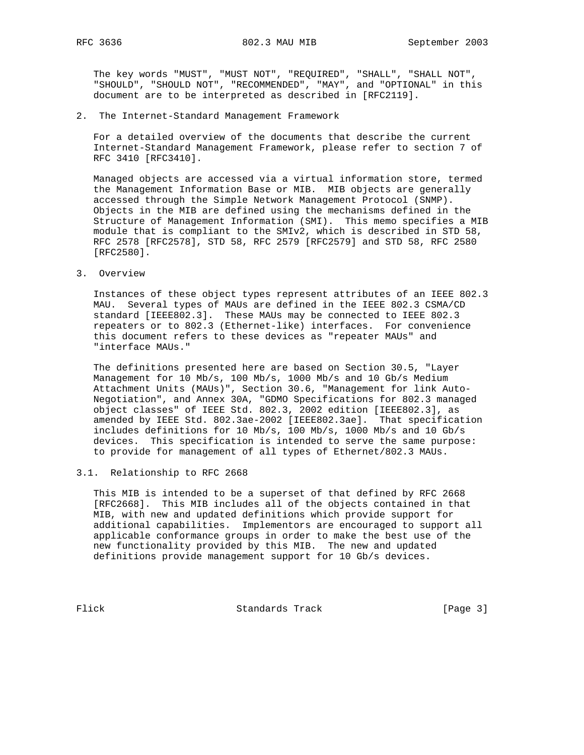The key words "MUST", "MUST NOT", "REQUIRED", "SHALL", "SHALL NOT", "SHOULD", "SHOULD NOT", "RECOMMENDED", "MAY", and "OPTIONAL" in this document are to be interpreted as described in [RFC2119].

2. The Internet-Standard Management Framework

 For a detailed overview of the documents that describe the current Internet-Standard Management Framework, please refer to section 7 of RFC 3410 [RFC3410].

 Managed objects are accessed via a virtual information store, termed the Management Information Base or MIB. MIB objects are generally accessed through the Simple Network Management Protocol (SNMP). Objects in the MIB are defined using the mechanisms defined in the Structure of Management Information (SMI). This memo specifies a MIB module that is compliant to the SMIv2, which is described in STD 58, RFC 2578 [RFC2578], STD 58, RFC 2579 [RFC2579] and STD 58, RFC 2580 [RFC2580].

3. Overview

 Instances of these object types represent attributes of an IEEE 802.3 MAU. Several types of MAUs are defined in the IEEE 802.3 CSMA/CD standard [IEEE802.3]. These MAUs may be connected to IEEE 802.3 repeaters or to 802.3 (Ethernet-like) interfaces. For convenience this document refers to these devices as "repeater MAUs" and "interface MAUs."

 The definitions presented here are based on Section 30.5, "Layer Management for 10 Mb/s, 100 Mb/s, 1000 Mb/s and 10 Gb/s Medium Attachment Units (MAUs)", Section 30.6, "Management for link Auto- Negotiation", and Annex 30A, "GDMO Specifications for 802.3 managed object classes" of IEEE Std. 802.3, 2002 edition [IEEE802.3], as amended by IEEE Std. 802.3ae-2002 [IEEE802.3ae]. That specification includes definitions for 10 Mb/s, 100 Mb/s, 1000 Mb/s and 10 Gb/s devices. This specification is intended to serve the same purpose: to provide for management of all types of Ethernet/802.3 MAUs.

### 3.1. Relationship to RFC 2668

 This MIB is intended to be a superset of that defined by RFC 2668 [RFC2668]. This MIB includes all of the objects contained in that MIB, with new and updated definitions which provide support for additional capabilities. Implementors are encouraged to support all applicable conformance groups in order to make the best use of the new functionality provided by this MIB. The new and updated definitions provide management support for 10 Gb/s devices.

Flick Standards Track [Page 3]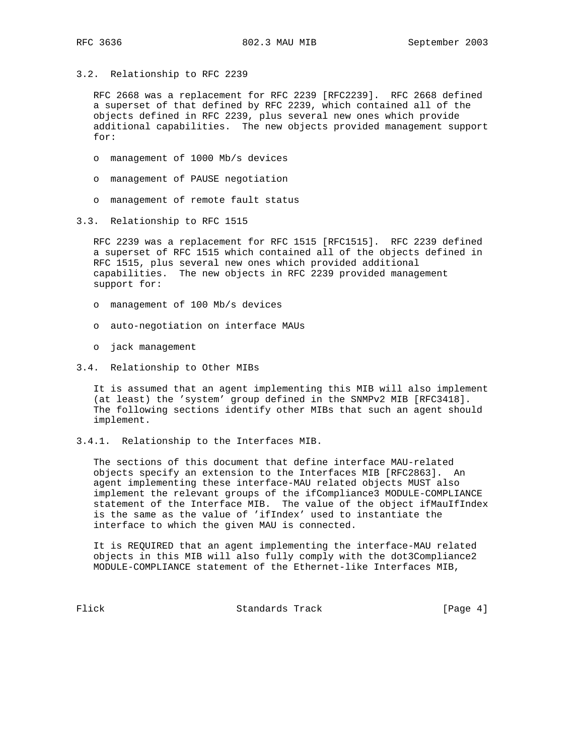3.2. Relationship to RFC 2239

 RFC 2668 was a replacement for RFC 2239 [RFC2239]. RFC 2668 defined a superset of that defined by RFC 2239, which contained all of the objects defined in RFC 2239, plus several new ones which provide additional capabilities. The new objects provided management support for:

- o management of 1000 Mb/s devices
- o management of PAUSE negotiation
- o management of remote fault status
- 3.3. Relationship to RFC 1515

 RFC 2239 was a replacement for RFC 1515 [RFC1515]. RFC 2239 defined a superset of RFC 1515 which contained all of the objects defined in RFC 1515, plus several new ones which provided additional capabilities. The new objects in RFC 2239 provided management support for:

- o management of 100 Mb/s devices
- o auto-negotiation on interface MAUs
- o jack management
- 3.4. Relationship to Other MIBs

 It is assumed that an agent implementing this MIB will also implement (at least) the 'system' group defined in the SNMPv2 MIB [RFC3418]. The following sections identify other MIBs that such an agent should implement.

3.4.1. Relationship to the Interfaces MIB.

 The sections of this document that define interface MAU-related objects specify an extension to the Interfaces MIB [RFC2863]. An agent implementing these interface-MAU related objects MUST also implement the relevant groups of the ifCompliance3 MODULE-COMPLIANCE statement of the Interface MIB. The value of the object ifMauIfIndex is the same as the value of 'ifIndex' used to instantiate the interface to which the given MAU is connected.

 It is REQUIRED that an agent implementing the interface-MAU related objects in this MIB will also fully comply with the dot3Compliance2 MODULE-COMPLIANCE statement of the Ethernet-like Interfaces MIB,

Flick Standards Track [Page 4]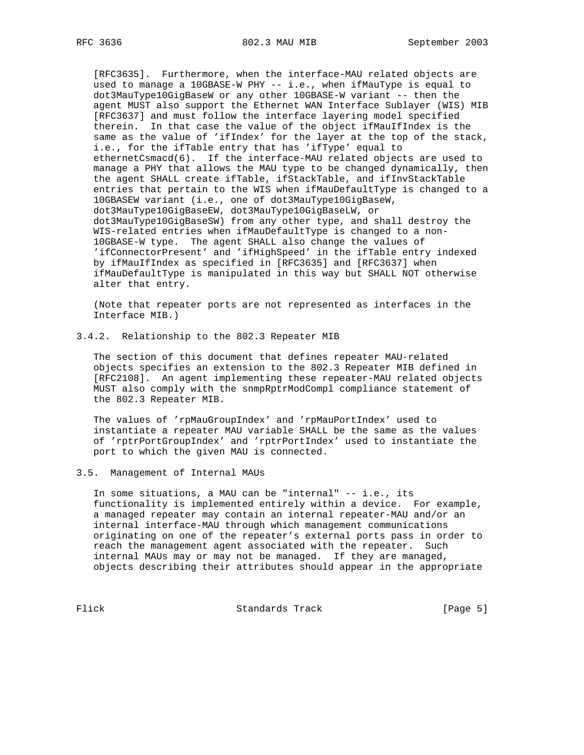[RFC3635]. Furthermore, when the interface-MAU related objects are used to manage a 10GBASE-W PHY -- i.e., when ifMauType is equal to dot3MauType10GigBaseW or any other 10GBASE-W variant -- then the agent MUST also support the Ethernet WAN Interface Sublayer (WIS) MIB [RFC3637] and must follow the interface layering model specified therein. In that case the value of the object ifMauIfIndex is the same as the value of 'ifIndex' for the layer at the top of the stack, i.e., for the ifTable entry that has 'ifType' equal to ethernetCsmacd(6). If the interface-MAU related objects are used to manage a PHY that allows the MAU type to be changed dynamically, then the agent SHALL create ifTable, ifStackTable, and ifInvStackTable entries that pertain to the WIS when ifMauDefaultType is changed to a 10GBASEW variant (i.e., one of dot3MauType10GigBaseW, dot3MauType10GigBaseEW, dot3MauType10GigBaseLW, or dot3MauType10GigBaseSW) from any other type, and shall destroy the WIS-related entries when ifMauDefaultType is changed to a non- 10GBASE-W type. The agent SHALL also change the values of 'ifConnectorPresent' and 'ifHighSpeed' in the ifTable entry indexed by ifMauIfIndex as specified in [RFC3635] and [RFC3637] when ifMauDefaultType is manipulated in this way but SHALL NOT otherwise alter that entry.

 (Note that repeater ports are not represented as interfaces in the Interface MIB.)

3.4.2. Relationship to the 802.3 Repeater MIB

 The section of this document that defines repeater MAU-related objects specifies an extension to the 802.3 Repeater MIB defined in [RFC2108]. An agent implementing these repeater-MAU related objects MUST also comply with the snmpRptrModCompl compliance statement of the 802.3 Repeater MIB.

 The values of 'rpMauGroupIndex' and 'rpMauPortIndex' used to instantiate a repeater MAU variable SHALL be the same as the values of 'rptrPortGroupIndex' and 'rptrPortIndex' used to instantiate the port to which the given MAU is connected.

3.5. Management of Internal MAUs

 In some situations, a MAU can be "internal" -- i.e., its functionality is implemented entirely within a device. For example, a managed repeater may contain an internal repeater-MAU and/or an internal interface-MAU through which management communications originating on one of the repeater's external ports pass in order to reach the management agent associated with the repeater. Such internal MAUs may or may not be managed. If they are managed, objects describing their attributes should appear in the appropriate

Flick Standards Track [Page 5]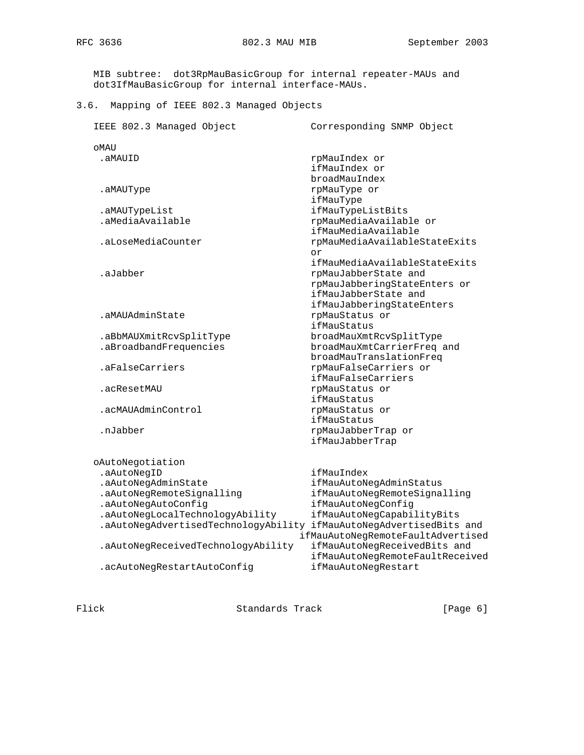MIB subtree: dot3RpMauBasicGroup for internal repeater-MAUs and dot3IfMauBasicGroup for internal interface-MAUs.

3.6. Mapping of IEEE 802.3 Managed Objects

| IEEE 802.3 Managed Object                                           | Corresponding SNMP Object                                                                                     |
|---------------------------------------------------------------------|---------------------------------------------------------------------------------------------------------------|
| OMAU                                                                |                                                                                                               |
| .aMAUID                                                             | rpMauIndex or<br>ifMauIndex or<br>broadMauIndex                                                               |
| .aMAUType                                                           | rpMauType or<br>ifMauType                                                                                     |
| .aMAUTypeList                                                       | ifMauTypeListBits                                                                                             |
| .aMediaAvailable                                                    | rpMauMediaAvailable or<br>ifMauMediaAvailable                                                                 |
| .aLoseMediaCounter                                                  | rpMauMediaAvailableStateExits<br>or                                                                           |
| .aJabber                                                            | ifMauMediaAvailableStateExits<br>rpMauJabberState and<br>rpMauJabberingStateEnters or<br>ifMauJabberState and |
| aMAUAdminState                                                      | ifMauJabberingStateEnters<br>rpMauStatus or<br>ifMauStatus                                                    |
| .aBbMAUXmitRcvSplitType                                             | broadMauXmtRcvSplitType                                                                                       |
| .aBroadbandFrequencies                                              | broadMauXmtCarrierFreq and<br>broadMauTranslationFreq                                                         |
| .aFalseCarriers                                                     | rpMauFalseCarriers or<br>ifMauFalseCarriers                                                                   |
| .acResetMAU                                                         | rpMauStatus or<br>ifMauStatus                                                                                 |
| .acMAUAdminControl                                                  | rpMauStatus or<br>ifMauStatus                                                                                 |
| .nJabber                                                            | rpMauJabberTrap or<br>ifMauJabberTrap                                                                         |
| oAutoNegotiation                                                    |                                                                                                               |
| .aAutoNegID                                                         | ifMauIndex                                                                                                    |
| .aAutoNegAdminState                                                 | ifMauAutoNegAdminStatus                                                                                       |
| .aAutoNegRemoteSignalling                                           | ifMauAutoNegRemoteSignalling                                                                                  |
| .aAutoNegAutoConfig                                                 | ifMauAutoNegConfig                                                                                            |
| .aAutoNegLocalTechnologyAbility                                     | ifMauAutoNegCapabilityBits                                                                                    |
| .aAutoNegAdvertisedTechnologyAbility ifMauAutoNegAdvertisedBits and | ifMauAutoNegRemoteFaultAdvertised                                                                             |
| .aAutoNegReceivedTechnologyAbility                                  | ifMauAutoNegReceivedBits and<br>ifMauAutoNegRemoteFaultReceived                                               |
| .acAutoNegRestartAutoConfig                                         | ifMauAutoNegRestart                                                                                           |

Flick Standards Track [Page 6]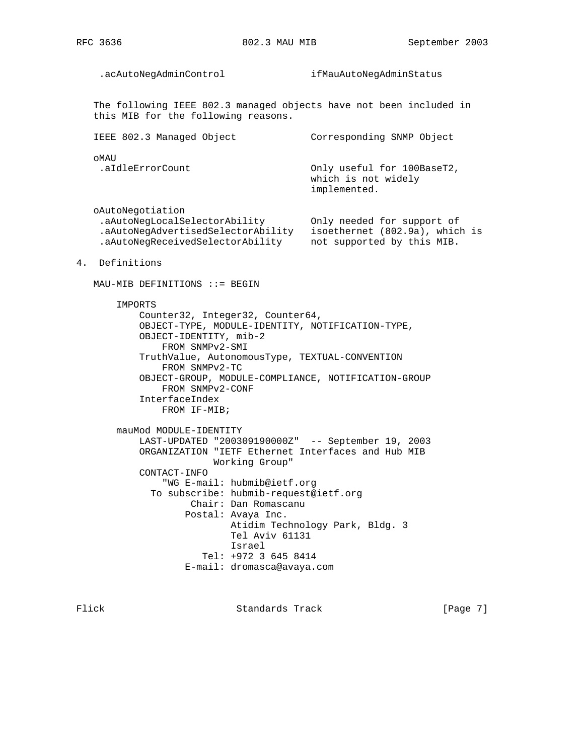.acAutoNegAdminControl ifMauAutoNegAdminStatus The following IEEE 802.3 managed objects have not been included in this MIB for the following reasons. IEEE 802.3 Managed Object Corresponding SNMP Object oMAU .aIdleErrorCount Only useful for 100BaseT2, which is not widely implemented. oAutoNegotiation .aAutoNegLocalSelectorAbility Only needed for support of .aAutoNegAdvertisedSelectorAbility isoethernet (802.9a), which is .aAutoNegReceivedSelectorAbility not supported by this MIB. 4. Definitions MAU-MIB DEFINITIONS ::= BEGIN IMPORTS Counter32, Integer32, Counter64, OBJECT-TYPE, MODULE-IDENTITY, NOTIFICATION-TYPE, OBJECT-IDENTITY, mib-2 FROM SNMPv2-SMI TruthValue, AutonomousType, TEXTUAL-CONVENTION FROM SNMPv2-TC OBJECT-GROUP, MODULE-COMPLIANCE, NOTIFICATION-GROUP FROM SNMPv2-CONF InterfaceIndex FROM IF-MIB; mauMod MODULE-IDENTITY LAST-UPDATED "200309190000Z" -- September 19, 2003 ORGANIZATION "IETF Ethernet Interfaces and Hub MIB Working Group" CONTACT-INFO "WG E-mail: hubmib@ietf.org To subscribe: hubmib-request@ietf.org Chair: Dan Romascanu Postal: Avaya Inc. Atidim Technology Park, Bldg. 3 Tel Aviv 61131 Israel Tel: +972 3 645 8414 E-mail: dromasca@avaya.com

Flick Standards Track [Page 7]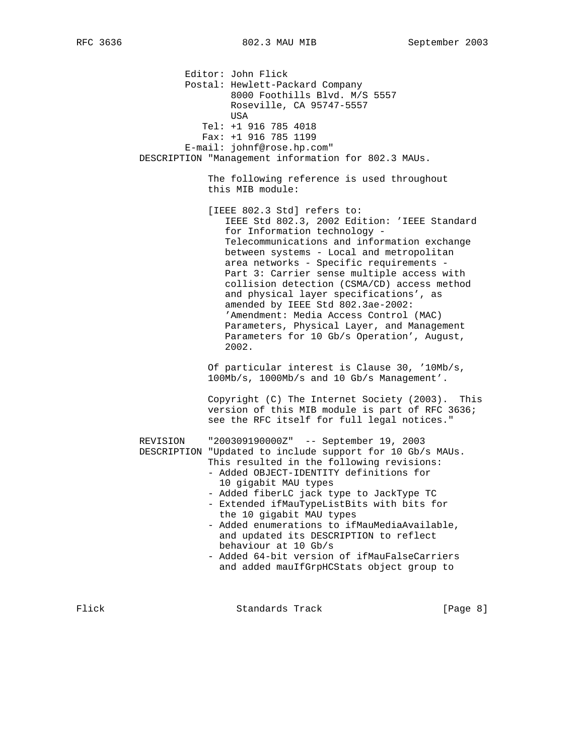Editor: John Flick Postal: Hewlett-Packard Company 8000 Foothills Blvd. M/S 5557 Roseville, CA 95747-5557 **USA**  Tel: +1 916 785 4018 Fax: +1 916 785 1199 E-mail: johnf@rose.hp.com" DESCRIPTION "Management information for 802.3 MAUs. The following reference is used throughout this MIB module: [IEEE 802.3 Std] refers to: IEEE Std 802.3, 2002 Edition: 'IEEE Standard for Information technology - Telecommunications and information exchange between systems - Local and metropolitan area networks - Specific requirements - Part 3: Carrier sense multiple access with collision detection (CSMA/CD) access method and physical layer specifications', as amended by IEEE Std 802.3ae-2002: 'Amendment: Media Access Control (MAC) Parameters, Physical Layer, and Management Parameters for 10 Gb/s Operation', August, 2002. Of particular interest is Clause 30, '10Mb/s, 100Mb/s, 1000Mb/s and 10 Gb/s Management'. Copyright (C) The Internet Society (2003). This version of this MIB module is part of RFC 3636; see the RFC itself for full legal notices." REVISION "200309190000Z" -- September 19, 2003 DESCRIPTION "Updated to include support for 10 Gb/s MAUs. This resulted in the following revisions: - Added OBJECT-IDENTITY definitions for 10 gigabit MAU types - Added fiberLC jack type to JackType TC - Extended ifMauTypeListBits with bits for the 10 gigabit MAU types - Added enumerations to ifMauMediaAvailable, and updated its DESCRIPTION to reflect behaviour at 10 Gb/s - Added 64-bit version of ifMauFalseCarriers and added mauIfGrpHCStats object group to

Flick **Standards Track** [Page 8]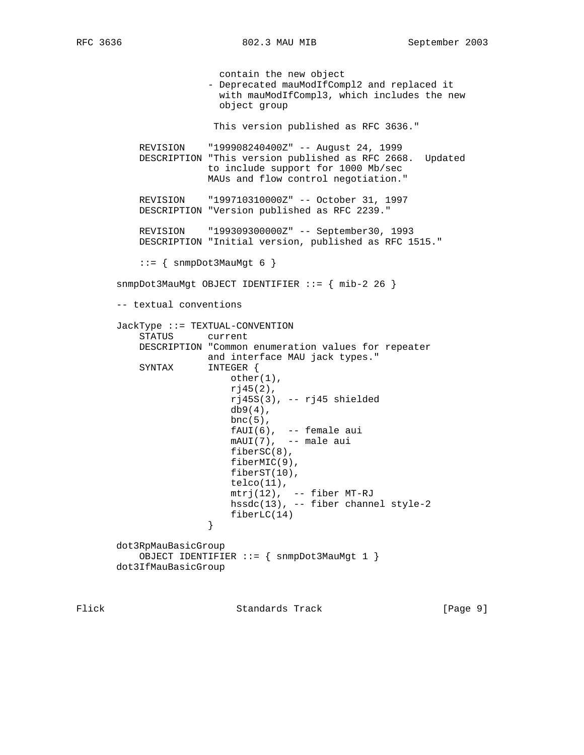contain the new object - Deprecated mauModIfCompl2 and replaced it with mauModIfCompl3, which includes the new object group This version published as RFC 3636." REVISION "199908240400Z" -- August 24, 1999 DESCRIPTION "This version published as RFC 2668. Updated to include support for 1000 Mb/sec MAUs and flow control negotiation." REVISION "199710310000Z" -- October 31, 1997 DESCRIPTION "Version published as RFC 2239." REVISION "199309300000Z" -- September30, 1993 DESCRIPTION "Initial version, published as RFC 1515."  $::=$  { snmpDot3MauMgt 6 } snmpDot3MauMgt OBJECT IDENTIFIER ::= { mib-2 26 } -- textual conventions JackType ::= TEXTUAL-CONVENTION STATUS current DESCRIPTION "Common enumeration values for repeater and interface MAU jack types." SYNTAX INTEGER { other(1), rj45(2), rj45S(3), -- rj45 shielded  $db9(4)$ , bnc $(5)$ , fAUI(6), -- female aui mAUI(7), -- male aui fiberSC(8), fiberMIC(9), fiberST(10),  $telco(11)$ , mtrj(12), -- fiber MT-RJ hssdc(13), -- fiber channel style-2  $fiberLC(14)$  } dot3RpMauBasicGroup OBJECT IDENTIFIER ::= { snmpDot3MauMgt 1 } dot3IfMauBasicGroup

Flick Standards Track [Page 9]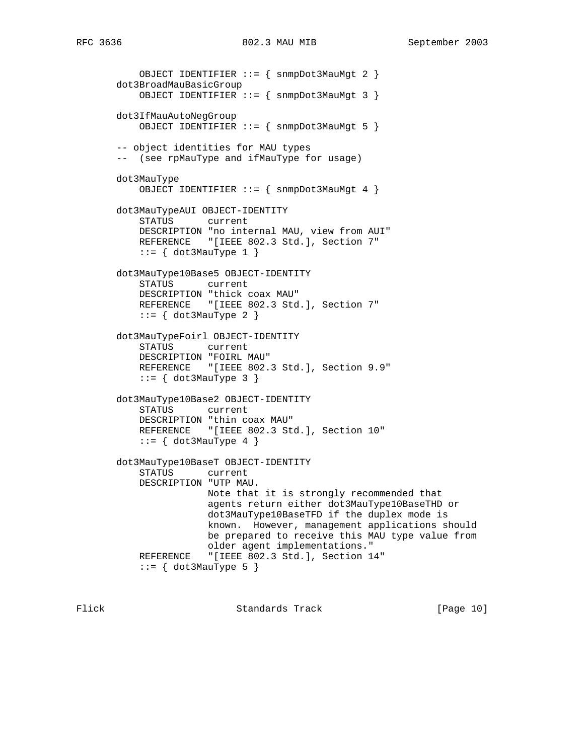OBJECT IDENTIFIER ::= { snmpDot3MauMgt 2 } dot3BroadMauBasicGroup OBJECT IDENTIFIER ::= { snmpDot3MauMgt 3 } dot3IfMauAutoNegGroup OBJECT IDENTIFIER ::= { snmpDot3MauMgt 5 } -- object identities for MAU types -- (see rpMauType and ifMauType for usage) dot3MauType OBJECT IDENTIFIER ::= { snmpDot3MauMgt 4 } dot3MauTypeAUI OBJECT-IDENTITY STATUS current DESCRIPTION "no internal MAU, view from AUI" REFERENCE "[IEEE 802.3 Std.], Section 7"  $::= \{ dot3MauType 1 \}$  dot3MauType10Base5 OBJECT-IDENTITY STATUS current DESCRIPTION "thick coax MAU" REFERENCE "[IEEE 802.3 Std.], Section 7"  $::=$  { dot3MauType 2 } dot3MauTypeFoirl OBJECT-IDENTITY STATUS current DESCRIPTION "FOIRL MAU" REFERENCE "[IEEE 802.3 Std.], Section 9.9"  $::=$  { dot3MauType 3 } dot3MauType10Base2 OBJECT-IDENTITY STATUS current DESCRIPTION "thin coax MAU" REFERENCE "[IEEE 802.3 Std.], Section 10"  $::=$  { dot3MauType 4 } dot3MauType10BaseT OBJECT-IDENTITY STATUS current DESCRIPTION "UTP MAU. Note that it is strongly recommended that agents return either dot3MauType10BaseTHD or dot3MauType10BaseTFD if the duplex mode is known. However, management applications should be prepared to receive this MAU type value from older agent implementations." REFERENCE "[IEEE 802.3 Std.], Section 14"  $::=$  { dot3MauType 5 }

Flick Standards Track [Page 10]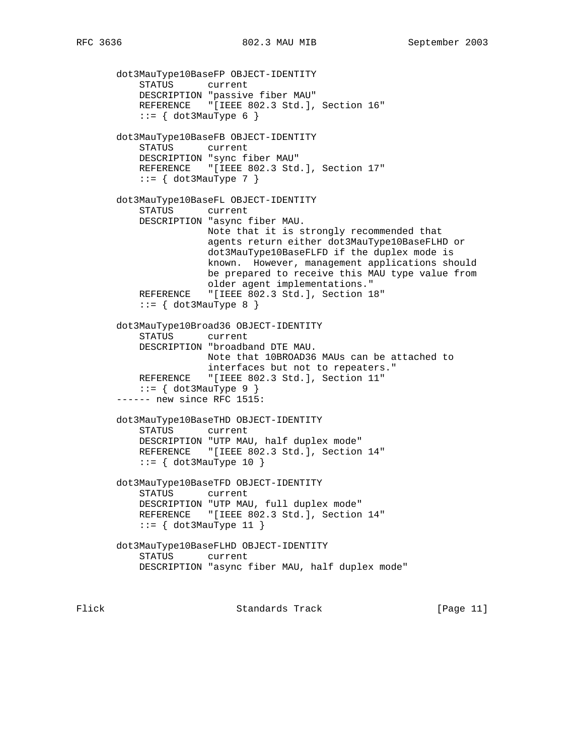dot3MauType10BaseFP OBJECT-IDENTITY STATUS current DESCRIPTION "passive fiber MAU" REFERENCE "[IEEE 802.3 Std.], Section 16"  $::= \{ dot3MauType 6 \}$  dot3MauType10BaseFB OBJECT-IDENTITY STATUS current DESCRIPTION "sync fiber MAU" REFERENCE "[IEEE 802.3 Std.], Section 17"  $::= \{ dot3MauType 7 \}$  dot3MauType10BaseFL OBJECT-IDENTITY STATUS current DESCRIPTION "async fiber MAU. Note that it is strongly recommended that agents return either dot3MauType10BaseFLHD or dot3MauType10BaseFLFD if the duplex mode is known. However, management applications should be prepared to receive this MAU type value from older agent implementations." REFERENCE "[IEEE 802.3 Std.], Section 18"  $::= \{ dot3MauType 8 \}$  dot3MauType10Broad36 OBJECT-IDENTITY STATUS current DESCRIPTION "broadband DTE MAU. Note that 10BROAD36 MAUs can be attached to interfaces but not to repeaters." REFERENCE "[IEEE 802.3 Std.], Section 11"  $::=$  { dot 3MauType 9 } ------ new since RFC 1515: dot3MauType10BaseTHD OBJECT-IDENTITY STATUS current DESCRIPTION "UTP MAU, half duplex mode" REFERENCE "[IEEE 802.3 Std.], Section 14"  $::=$  { dot3MauType 10 } dot3MauType10BaseTFD OBJECT-IDENTITY STATUS current DESCRIPTION "UTP MAU, full duplex mode" REFERENCE "[IEEE 802.3 Std.], Section 14"  $::=$  { dot3MauType 11 } dot3MauType10BaseFLHD OBJECT-IDENTITY STATUS current DESCRIPTION "async fiber MAU, half duplex mode"

Flick **Standards Track** [Page 11]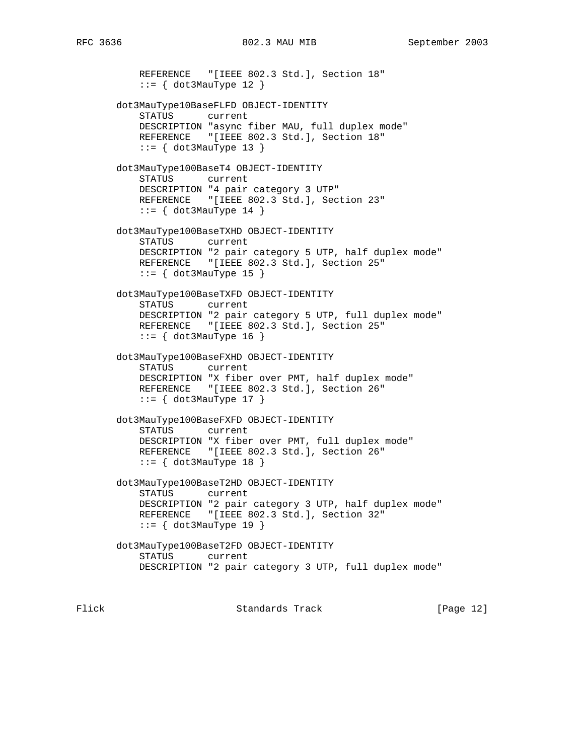REFERENCE "[IEEE 802.3 Std.], Section 18"  $::=$  { dot3MauType 12 } dot3MauType10BaseFLFD OBJECT-IDENTITY STATUS current DESCRIPTION "async fiber MAU, full duplex mode" REFERENCE "[IEEE 802.3 Std.], Section 18"  $::= \{ dot3MauType 13 \}$  dot3MauType100BaseT4 OBJECT-IDENTITY STATUS current DESCRIPTION "4 pair category 3 UTP" REFERENCE "[IEEE 802.3 Std.], Section 23"  $::= \{ dot3MauType 14 \}$  dot3MauType100BaseTXHD OBJECT-IDENTITY STATUS current DESCRIPTION "2 pair category 5 UTP, half duplex mode" REFERENCE "[IEEE 802.3 Std.], Section 25"  $::=$  { dot3MauType 15 } dot3MauType100BaseTXFD OBJECT-IDENTITY STATUS current DESCRIPTION "2 pair category 5 UTP, full duplex mode" REFERENCE "[IEEE 802.3 Std.], Section 25"  $::=$  { dot3MauType 16 } dot3MauType100BaseFXHD OBJECT-IDENTITY STATUS current DESCRIPTION "X fiber over PMT, half duplex mode" REFERENCE "[IEEE 802.3 Std.], Section 26"  $::= \{ dot3MauType 17 \}$  dot3MauType100BaseFXFD OBJECT-IDENTITY STATUS current DESCRIPTION "X fiber over PMT, full duplex mode" REFERENCE "[IEEE 802.3 Std.], Section 26"  $::=$  { dot3MauType 18 } dot3MauType100BaseT2HD OBJECT-IDENTITY STATUS current DESCRIPTION "2 pair category 3 UTP, half duplex mode" REFERENCE "[IEEE 802.3 Std.], Section 32"  $::=$  { dot3MauType 19 } dot3MauType100BaseT2FD OBJECT-IDENTITY STATUS current DESCRIPTION "2 pair category 3 UTP, full duplex mode"

Flick Standards Track [Page 12]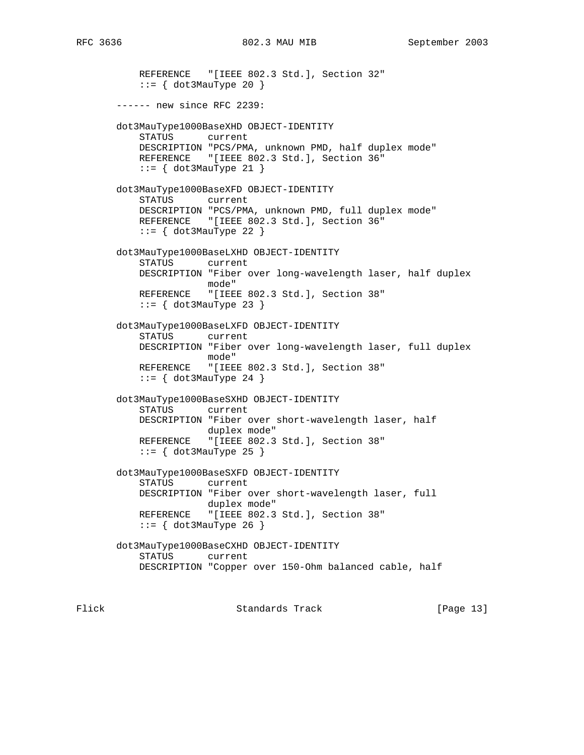REFERENCE "[IEEE 802.3 Std.], Section 32"  $::=$  { dot3MauType 20 } ------ new since RFC 2239: dot3MauType1000BaseXHD OBJECT-IDENTITY STATUS current DESCRIPTION "PCS/PMA, unknown PMD, half duplex mode" REFERENCE "[IEEE 802.3 Std.], Section 36"  $::= \{ dot3MauType 21 \}$  dot3MauType1000BaseXFD OBJECT-IDENTITY STATUS current DESCRIPTION "PCS/PMA, unknown PMD, full duplex mode" REFERENCE "[IEEE 802.3 Std.], Section 36"  $::=$  { dot3MauType 22 } dot3MauType1000BaseLXHD OBJECT-IDENTITY STATUS current DESCRIPTION "Fiber over long-wavelength laser, half duplex mode" REFERENCE "[IEEE 802.3 Std.], Section 38"  $::= \{ dot3MauType 23 \}$  dot3MauType1000BaseLXFD OBJECT-IDENTITY STATUS current DESCRIPTION "Fiber over long-wavelength laser, full duplex mode" REFERENCE "[IEEE 802.3 Std.], Section 38"  $::=$  { dot3MauType 24 } dot3MauType1000BaseSXHD OBJECT-IDENTITY STATUS current DESCRIPTION "Fiber over short-wavelength laser, half duplex mode" REFERENCE "[IEEE 802.3 Std.], Section 38"  $::=$  { dot3MauType 25 } dot3MauType1000BaseSXFD OBJECT-IDENTITY STATUS current DESCRIPTION "Fiber over short-wavelength laser, full duplex mode" REFERENCE "[IEEE 802.3 Std.], Section 38"  $::=$  { dot3MauType 26 } dot3MauType1000BaseCXHD OBJECT-IDENTITY STATUS current DESCRIPTION "Copper over 150-Ohm balanced cable, half

Flick Standards Track [Page 13]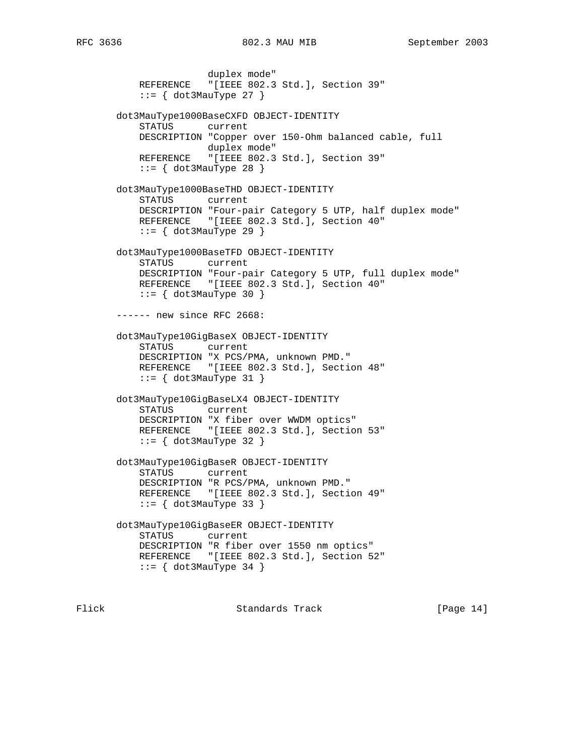duplex mode" REFERENCE "[IEEE 802.3 Std.], Section 39"  $::=$  { dot3MauType 27 } dot3MauType1000BaseCXFD OBJECT-IDENTITY STATUS current DESCRIPTION "Copper over 150-Ohm balanced cable, full duplex mode" REFERENCE "[IEEE 802.3 Std.], Section 39"  $::=$  { dot3MauType 28 } dot3MauType1000BaseTHD OBJECT-IDENTITY STATUS current DESCRIPTION "Four-pair Category 5 UTP, half duplex mode" REFERENCE "[IEEE 802.3 Std.], Section 40"  $::=$  { dot3MauType 29 } dot3MauType1000BaseTFD OBJECT-IDENTITY STATUS current DESCRIPTION "Four-pair Category 5 UTP, full duplex mode" REFERENCE "[IEEE 802.3 Std.], Section 40"  $::=$  { dot3MauType 30 } ------ new since RFC 2668: dot3MauType10GigBaseX OBJECT-IDENTITY STATUS current DESCRIPTION "X PCS/PMA, unknown PMD." REFERENCE "[IEEE 802.3 Std.], Section 48"  $::=$  { dot3MauType 31 } dot3MauType10GigBaseLX4 OBJECT-IDENTITY STATUS current DESCRIPTION "X fiber over WWDM optics" REFERENCE "[IEEE 802.3 Std.], Section 53"  $::=$  { dot3MauType 32 } dot3MauType10GigBaseR OBJECT-IDENTITY STATUS current DESCRIPTION "R PCS/PMA, unknown PMD." REFERENCE "[IEEE 802.3 Std.], Section 49"  $::=$  { dot3MauType 33 } dot3MauType10GigBaseER OBJECT-IDENTITY STATUS current DESCRIPTION "R fiber over 1550 nm optics" REFERENCE "[IEEE 802.3 Std.], Section 52"  $::=$  { dot3MauType 34 }

Flick Standards Track [Page 14]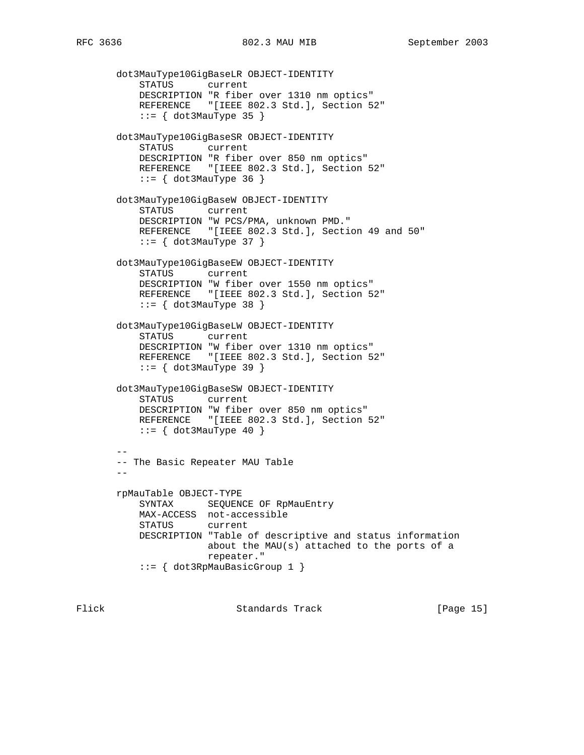dot3MauType10GigBaseLR OBJECT-IDENTITY STATUS current DESCRIPTION "R fiber over 1310 nm optics" REFERENCE "[IEEE 802.3 Std.], Section 52"  $::= \{ dot3MauType 35 \}$  dot3MauType10GigBaseSR OBJECT-IDENTITY STATUS current DESCRIPTION "R fiber over 850 nm optics" REFERENCE "[IEEE 802.3 Std.], Section 52"  $::= \{ dot3MauType 36 \}$  dot3MauType10GigBaseW OBJECT-IDENTITY STATUS current DESCRIPTION "W PCS/PMA, unknown PMD." REFERENCE "[IEEE 802.3 Std.], Section 49 and 50"  $::= \{ dot3MauType 37 \}$  dot3MauType10GigBaseEW OBJECT-IDENTITY STATUS current DESCRIPTION "W fiber over 1550 nm optics" REFERENCE "[IEEE 802.3 Std.], Section 52"  $::= \{ dot3MauType 38 \}$  dot3MauType10GigBaseLW OBJECT-IDENTITY STATUS current DESCRIPTION "W fiber over 1310 nm optics" REFERENCE "[IEEE 802.3 Std.], Section 52"  $::= \{ dot3MauType 39 \}$  dot3MauType10GigBaseSW OBJECT-IDENTITY STATUS current DESCRIPTION "W fiber over 850 nm optics" REFERENCE "[IEEE 802.3 Std.], Section 52"  $::= \{ dot3MauType 40 \}$  -- -- The Basic Repeater MAU Table - rpMauTable OBJECT-TYPE SYNTAX SEQUENCE OF RpMauEntry MAX-ACCESS not-accessible STATUS current DESCRIPTION "Table of descriptive and status information about the MAU(s) attached to the ports of a repeater." ::= { dot3RpMauBasicGroup 1 }

Flick Standards Track [Page 15]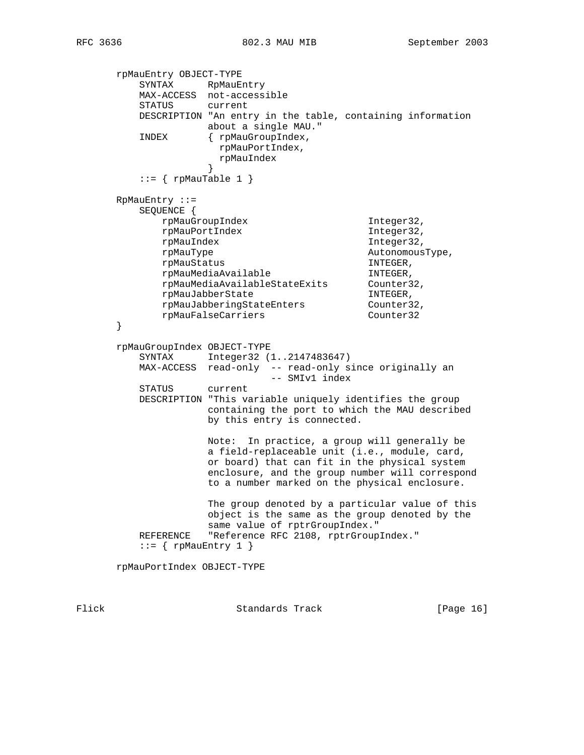rpMauEntry OBJECT-TYPE SYNTAX RpMauEntry MAX-ACCESS not-accessible STATUS current DESCRIPTION "An entry in the table, containing information about a single MAU." INDEX { rpMauGroupIndex, rpMauPortIndex, rpMauIndex }  $::=$  {  $rpMauTable 1$  } RpMauEntry ::= SEQUENCE { rpMauGroupIndex Integer32, rpMauPortIndex Integer32, rpMauIndex Integer32, rpMauType and autonomousType, rpMauStatus in the INTEGER, rpMauMediaAvailable in the INTEGER, rpMauMediaAvailableStateExits Counter32, rpMauJabberState INTEGER, rpMauJabberingStateEnters Counter32, rpMauFalseCarriers Counter32 } rpMauGroupIndex OBJECT-TYPE SYNTAX Integer32 (1..2147483647) MAX-ACCESS read-only -- read-only since originally an -- SMIv1 index STATUS current DESCRIPTION "This variable uniquely identifies the group containing the port to which the MAU described by this entry is connected. Note: In practice, a group will generally be a field-replaceable unit (i.e., module, card, or board) that can fit in the physical system enclosure, and the group number will correspond to a number marked on the physical enclosure. The group denoted by a particular value of this object is the same as the group denoted by the same value of rptrGroupIndex." REFERENCE "Reference RFC 2108, rptrGroupIndex."  $::=$  { rpMauEntry 1 } rpMauPortIndex OBJECT-TYPE

Flick Standards Track [Page 16]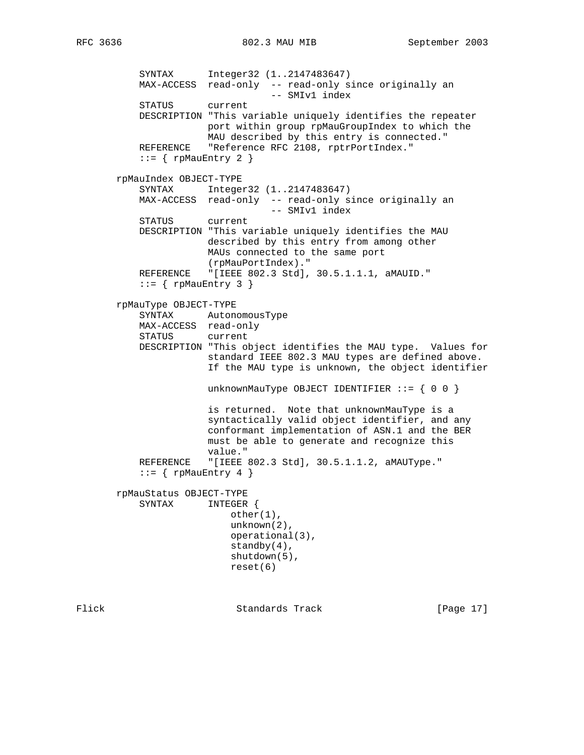SYNTAX Integer32 (1..2147483647) MAX-ACCESS read-only -- read-only since originally an -- SMIv1 index STATUS current DESCRIPTION "This variable uniquely identifies the repeater port within group rpMauGroupIndex to which the MAU described by this entry is connected." REFERENCE "Reference RFC 2108, rptrPortIndex."  $::=$  { rpMauEntry 2 } rpMauIndex OBJECT-TYPE SYNTAX Integer32 (1..2147483647) MAX-ACCESS read-only -- read-only since originally an -- SMIv1 index STATUS current DESCRIPTION "This variable uniquely identifies the MAU described by this entry from among other MAUs connected to the same port (rpMauPortIndex)." REFERENCE "[IEEE 802.3 Std], 30.5.1.1.1, aMAUID."  $::=$  { rpMauEntry 3 } rpMauType OBJECT-TYPE SYNTAX AutonomousType MAX-ACCESS read-only STATUS current DESCRIPTION "This object identifies the MAU type. Values for standard IEEE 802.3 MAU types are defined above. If the MAU type is unknown, the object identifier unknownMauType OBJECT IDENTIFIER  $::= \{ 0 0 \}$  is returned. Note that unknownMauType is a syntactically valid object identifier, and any conformant implementation of ASN.1 and the BER must be able to generate and recognize this value." REFERENCE "[IEEE 802.3 Std], 30.5.1.1.2, aMAUType."  $::=$  { rpMauEntry 4 } rpMauStatus OBJECT-TYPE SYNTAX INTEGER { other(1), unknown(2), operational(3), standby $(4)$ , shutdown(5), reset(6)

Flick Standards Track [Page 17]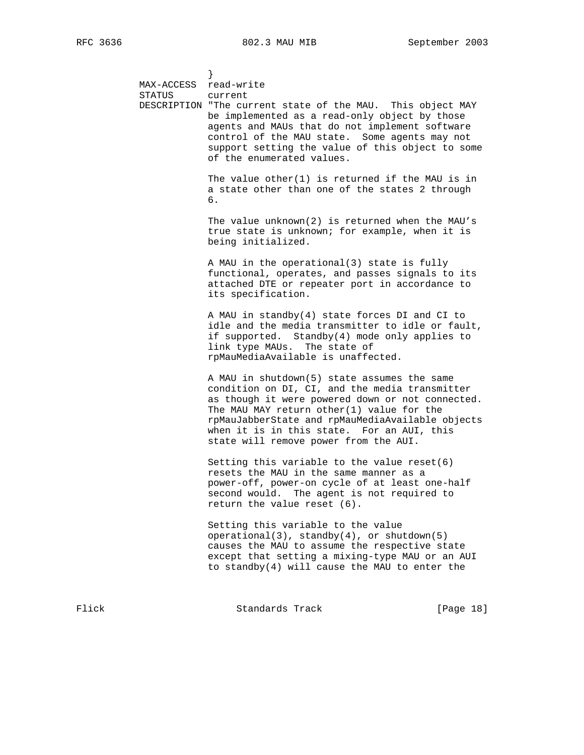} MAX-ACCESS read-write STATUS current DESCRIPTION "The current state of the MAU. This object MAY be implemented as a read-only object by those agents and MAUs that do not implement software control of the MAU state. Some agents may not support setting the value of this object to some of the enumerated values. The value other(1) is returned if the MAU is in a state other than one of the states 2 through  $\overline{6}$ . The value unknown(2) is returned when the MAU's true state is unknown; for example, when it is being initialized. A MAU in the operational(3) state is fully functional, operates, and passes signals to its attached DTE or repeater port in accordance to its specification. A MAU in standby(4) state forces DI and CI to idle and the media transmitter to idle or fault, if supported. Standby(4) mode only applies to link type MAUs. The state of rpMauMediaAvailable is unaffected. A MAU in shutdown(5) state assumes the same condition on DI, CI, and the media transmitter as though it were powered down or not connected. The MAU MAY return other(1) value for the rpMauJabberState and rpMauMediaAvailable objects when it is in this state. For an AUI, this state will remove power from the AUI. Setting this variable to the value reset(6) resets the MAU in the same manner as a power-off, power-on cycle of at least one-half second would. The agent is not required to return the value reset (6). Setting this variable to the value operational(3), standby(4), or shutdown(5) causes the MAU to assume the respective state except that setting a mixing-type MAU or an AUI to standby(4) will cause the MAU to enter the

Flick Standards Track [Page 18]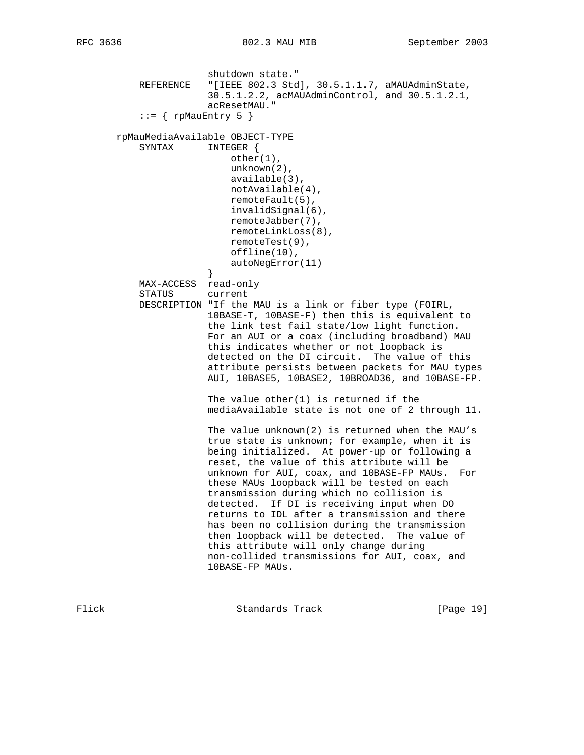shutdown state."<br>REFERENCE "[IEEE 802.3 Std "[IEEE 802.3 Std], 30.5.1.1.7, aMAUAdminState, 30.5.1.2.2, acMAUAdminControl, and 30.5.1.2.1, acResetMAU."  $::=$  { rpMauEntry 5 } rpMauMediaAvailable OBJECT-TYPE SYNTAX INTEGER { other(1), unknown(2), available(3), notAvailable(4), remoteFault(5), invalidSignal(6), remoteJabber(7), remoteLinkLoss(8), remoteTest(9), offline(10), autoNegError(11)<br>} } MAX-ACCESS read-only STATUS current DESCRIPTION "If the MAU is a link or fiber type (FOIRL, 10BASE-T, 10BASE-F) then this is equivalent to the link test fail state/low light function. For an AUI or a coax (including broadband) MAU this indicates whether or not loopback is detected on the DI circuit. The value of this attribute persists between packets for MAU types AUI, 10BASE5, 10BASE2, 10BROAD36, and 10BASE-FP. The value other(1) is returned if the mediaAvailable state is not one of 2 through 11. The value unknown(2) is returned when the MAU's true state is unknown; for example, when it is being initialized. At power-up or following a reset, the value of this attribute will be unknown for AUI, coax, and 10BASE-FP MAUs. For these MAUs loopback will be tested on each transmission during which no collision is detected. If DI is receiving input when DO returns to IDL after a transmission and there has been no collision during the transmission then loopback will be detected. The value of this attribute will only change during non-collided transmissions for AUI, coax, and 10BASE-FP MAUs.

Flick **Standards Track** [Page 19]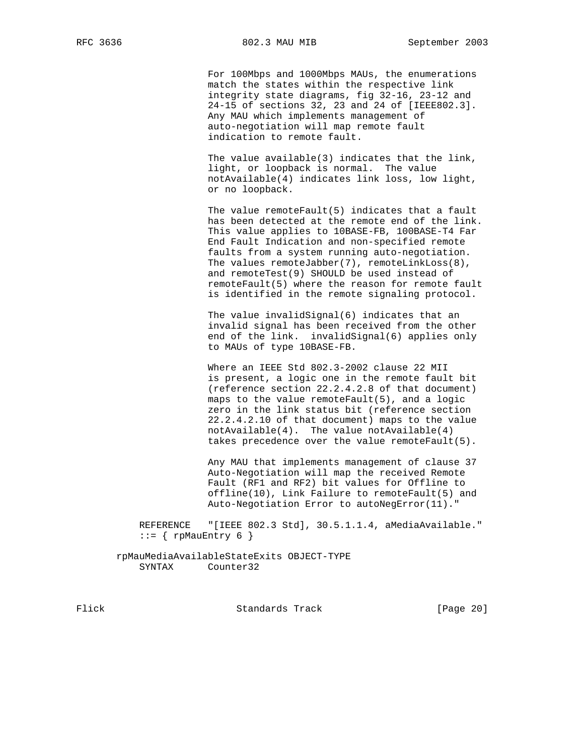For 100Mbps and 1000Mbps MAUs, the enumerations match the states within the respective link integrity state diagrams, fig 32-16, 23-12 and 24-15 of sections 32, 23 and 24 of [IEEE802.3]. Any MAU which implements management of auto-negotiation will map remote fault indication to remote fault.

 The value available(3) indicates that the link, light, or loopback is normal. The value notAvailable(4) indicates link loss, low light, or no loopback.

 The value remoteFault(5) indicates that a fault has been detected at the remote end of the link. This value applies to 10BASE-FB, 100BASE-T4 Far End Fault Indication and non-specified remote faults from a system running auto-negotiation. The values remoteJabber(7), remoteLinkLoss(8), and remoteTest(9) SHOULD be used instead of remoteFault(5) where the reason for remote fault is identified in the remote signaling protocol.

 The value invalidSignal(6) indicates that an invalid signal has been received from the other end of the link. invalidSignal(6) applies only to MAUs of type 10BASE-FB.

 Where an IEEE Std 802.3-2002 clause 22 MII is present, a logic one in the remote fault bit (reference section 22.2.4.2.8 of that document) maps to the value remoteFault(5), and a logic zero in the link status bit (reference section 22.2.4.2.10 of that document) maps to the value notAvailable(4). The value notAvailable(4) takes precedence over the value remoteFault(5).

 Any MAU that implements management of clause 37 Auto-Negotiation will map the received Remote Fault (RF1 and RF2) bit values for Offline to offline(10), Link Failure to remoteFault(5) and Auto-Negotiation Error to autoNegError(11)."

 REFERENCE "[IEEE 802.3 Std], 30.5.1.1.4, aMediaAvailable."  $::=$  { rpMauEntry 6 }

 rpMauMediaAvailableStateExits OBJECT-TYPE SYNTAX Counter32

Flick Standards Track [Page 20]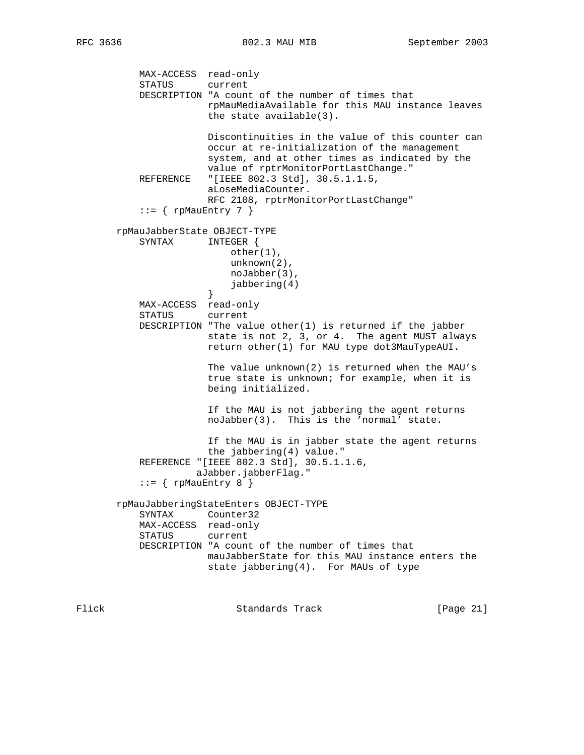MAX-ACCESS read-only STATUS current DESCRIPTION "A count of the number of times that rpMauMediaAvailable for this MAU instance leaves the state available(3). Discontinuities in the value of this counter can occur at re-initialization of the management system, and at other times as indicated by the value of rptrMonitorPortLastChange." REFERENCE "[IEEE 802.3 Std], 30.5.1.1.5, aLoseMediaCounter. RFC 2108, rptrMonitorPortLastChange"  $::= \{$  rpMauEntry 7  $\}$  rpMauJabberState OBJECT-TYPE SYNTAX INTEGER { other(1), unknown(2), noJabber(3), jabbering(4)<br>} } MAX-ACCESS read-only STATUS current DESCRIPTION "The value other(1) is returned if the jabber state is not 2, 3, or 4. The agent MUST always return other(1) for MAU type dot3MauTypeAUI. The value unknown(2) is returned when the MAU's true state is unknown; for example, when it is being initialized. If the MAU is not jabbering the agent returns noJabber(3). This is the 'normal' state. If the MAU is in jabber state the agent returns the jabbering(4) value." REFERENCE "[IEEE 802.3 Std], 30.5.1.1.6, aJabber.jabberFlag."  $::=$  { rpMauEntry 8 } rpMauJabberingStateEnters OBJECT-TYPE SYNTAX Counter32 MAX-ACCESS read-only STATUS current DESCRIPTION "A count of the number of times that mauJabberState for this MAU instance enters the state jabbering(4). For MAUs of type

Flick **Standards Track** [Page 21]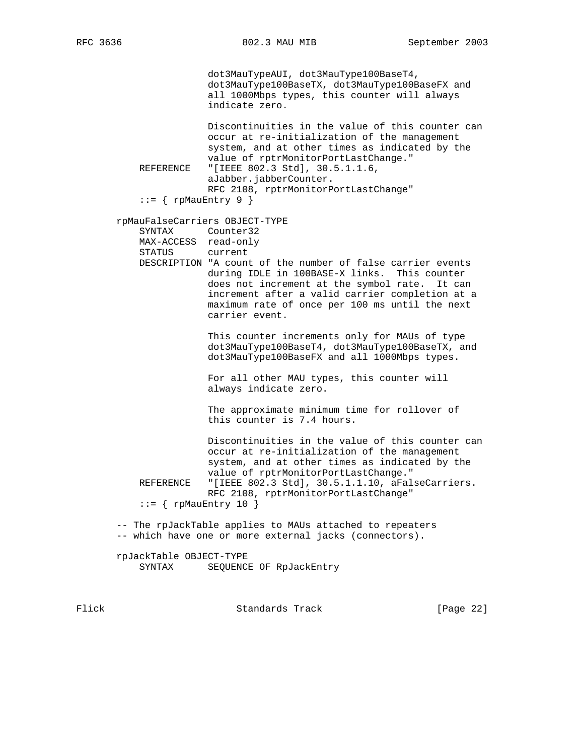dot3MauTypeAUI, dot3MauType100BaseT4, dot3MauType100BaseTX, dot3MauType100BaseFX and all 1000Mbps types, this counter will always indicate zero. Discontinuities in the value of this counter can occur at re-initialization of the management

 system, and at other times as indicated by the value of rptrMonitorPortLastChange." REFERENCE "[IEEE 802.3 Std], 30.5.1.1.6, aJabber.jabberCounter. RFC 2108, rptrMonitorPortLastChange"  $::=$  { rpMauEntry 9 }

rpMauFalseCarriers OBJECT-TYPE

 SYNTAX Counter32 MAX-ACCESS read-only STATUS current DESCRIPTION "A count of the number of false carrier events during IDLE in 100BASE-X links. This counter does not increment at the symbol rate. It can increment after a valid carrier completion at a

carrier event.

 This counter increments only for MAUs of type dot3MauType100BaseT4, dot3MauType100BaseTX, and dot3MauType100BaseFX and all 1000Mbps types.

maximum rate of once per 100 ms until the next

 For all other MAU types, this counter will always indicate zero.

 The approximate minimum time for rollover of this counter is 7.4 hours.

 Discontinuities in the value of this counter can occur at re-initialization of the management system, and at other times as indicated by the value of rptrMonitorPortLastChange."<br>REFERENCE "[IEEE 802.3 Std], 30.5.1.1.10, aFal "[IEEE 802.3 Std], 30.5.1.1.10, aFalseCarriers. RFC 2108, rptrMonitorPortLastChange"  $::=$  { rpMauEntry 10 }

 -- The rpJackTable applies to MAUs attached to repeaters -- which have one or more external jacks (connectors).

 rpJackTable OBJECT-TYPE SYNTAX SEQUENCE OF RpJackEntry

Flick Standards Track [Page 22]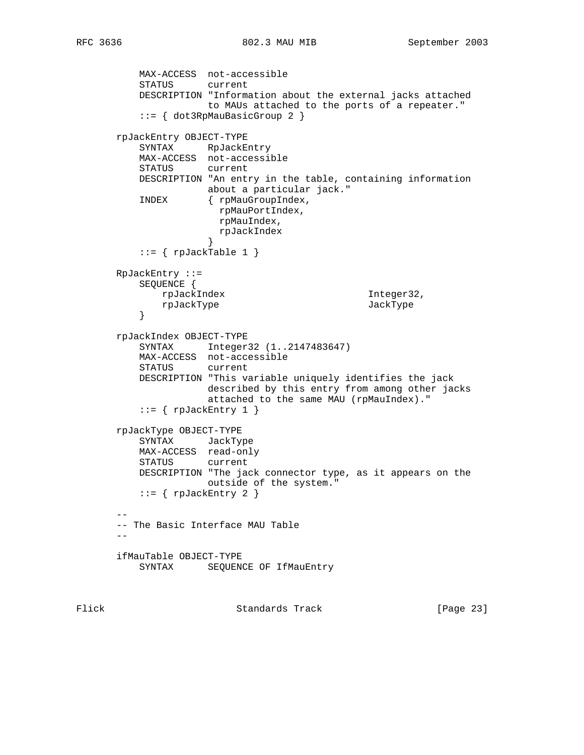```
 MAX-ACCESS not-accessible
          STATUS current
          DESCRIPTION "Information about the external jacks attached
                    to MAUs attached to the ports of a repeater."
           ::= { dot3RpMauBasicGroup 2 }
       rpJackEntry OBJECT-TYPE
         SYNTAX RpJackEntry
          MAX-ACCESS not-accessible
          STATUS current
          DESCRIPTION "An entry in the table, containing information
                    about a particular jack."
          INDEX { rpMauGroupIndex,
                       rpMauPortIndex,
                       rpMauIndex,
                       rpJackIndex
 }
          ::= { rpJackTable 1 }
       RpJackEntry ::=
          SEQUENCE {
              rpJackIndex Integer32,
          rpJackType JackType JackType
 }
       rpJackIndex OBJECT-TYPE
          SYNTAX Integer32 (1..2147483647)
          MAX-ACCESS not-accessible
          STATUS current
          DESCRIPTION "This variable uniquely identifies the jack
                    described by this entry from among other jacks
                     attached to the same MAU (rpMauIndex)."
          ::= { rpJackEntry 1 }
       rpJackType OBJECT-TYPE
          SYNTAX JackType
          MAX-ACCESS read-only
          STATUS current
          DESCRIPTION "The jack connector type, as it appears on the
                     outside of the system."
          ::= \{ rpJackEntry 2 \} --
       -- The Basic Interface MAU Table
      - - ifMauTable OBJECT-TYPE
         SYNTAX SEQUENCE OF IfMauEntry
```
Flick Standards Track [Page 23]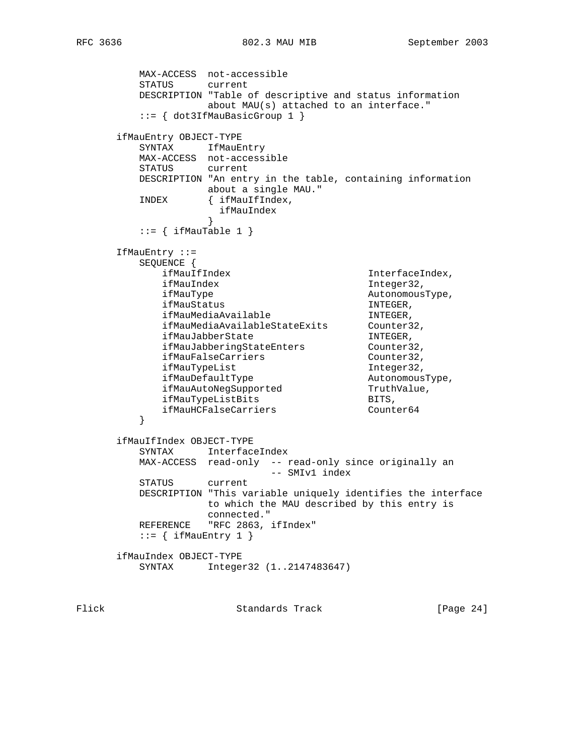MAX-ACCESS not-accessible STATUS current DESCRIPTION "Table of descriptive and status information about MAU(s) attached to an interface." ::= { dot3IfMauBasicGroup 1 } ifMauEntry OBJECT-TYPE SYNTAX IfMauEntry MAX-ACCESS not-accessible STATUS current DESCRIPTION "An entry in the table, containing information about a single MAU." INDEX { ifMauIfIndex, ifMauIndex<br>} }  $::=$  { ifMauTable 1 } IfMauEntry ::= SEQUENCE { ifMauIfIndex InterfaceIndex, ifMauIndex Integer32, ifMauType AutonomousType, ifMauStatus in the INTEGER, ifMauMediaAvailable in the INTEGER, ifMauMediaAvailableStateExits Counter32, ifMauJabberState INTEGER, ifMauJabberingStateEnters Counter32, ifMauFalseCarriers and Counter32, ifMauTypeList Integer32, ifMauDefaultType and autonomousType, ifMauAutoNegSupported TruthValue, ifMauTypeListBits BITS, ifMauHCFalseCarriers Counter64 } ifMauIfIndex OBJECT-TYPE SYNTAX InterfaceIndex MAX-ACCESS read-only -- read-only since originally an -- SMIv1 index STATUS current DESCRIPTION "This variable uniquely identifies the interface to which the MAU described by this entry is connected." REFERENCE "RFC 2863, ifIndex"  $::=$  { ifMauEntry 1 } ifMauIndex OBJECT-TYPE SYNTAX Integer32 (1..2147483647)

Flick Standards Track [Page 24]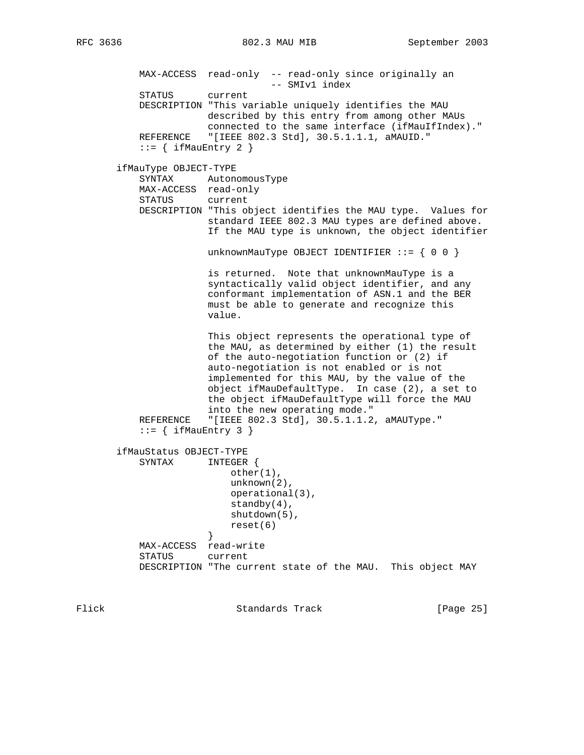```
 MAX-ACCESS read-only -- read-only since originally an
                                  -- SMIv1 index
           STATUS current
           DESCRIPTION "This variable uniquely identifies the MAU
                      described by this entry from among other MAUs
                       connected to the same interface (ifMauIfIndex)."
          REFERENCE "[IEEE 802.3 Std], 30.5.1.1.1, aMAUID."
          ::= { ifMauEntry 2 }
       ifMauType OBJECT-TYPE
           SYNTAX AutonomousType
           MAX-ACCESS read-only
           STATUS current
           DESCRIPTION "This object identifies the MAU type. Values for
                       standard IEEE 802.3 MAU types are defined above.
                       If the MAU type is unknown, the object identifier
                      unknownMauType OBJECT IDENTIFIER ::= \{ 0 0 \} is returned. Note that unknownMauType is a
                       syntactically valid object identifier, and any
                       conformant implementation of ASN.1 and the BER
                       must be able to generate and recognize this
                       value.
                       This object represents the operational type of
                       the MAU, as determined by either (1) the result
                       of the auto-negotiation function or (2) if
                       auto-negotiation is not enabled or is not
                       implemented for this MAU, by the value of the
                       object ifMauDefaultType. In case (2), a set to
                       the object ifMauDefaultType will force the MAU
                       into the new operating mode."
          REFERENCE "[IEEE 802.3 Std], 30.5.1.1.2, aMAUType."
          ::= { ifMauEntry 3 }
       ifMauStatus OBJECT-TYPE
           SYNTAX INTEGER {
                           other(1),
                           unknown(2),
                           operational(3),
                           standby(4),
                           shutdown(5),
                      reset(6)<br>}
 }
           MAX-ACCESS read-write
           STATUS current
           DESCRIPTION "The current state of the MAU. This object MAY
```
Flick Standards Track [Page 25]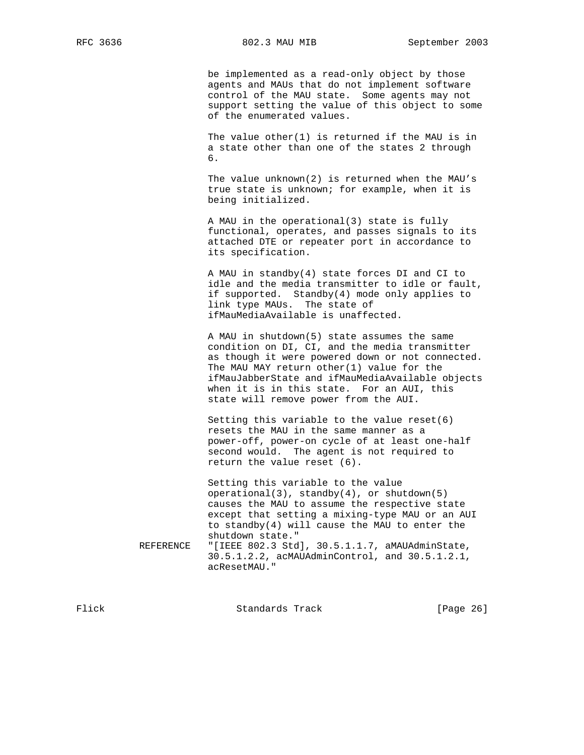be implemented as a read-only object by those agents and MAUs that do not implement software control of the MAU state. Some agents may not support setting the value of this object to some of the enumerated values.

 The value other(1) is returned if the MAU is in a state other than one of the states 2 through  $\overline{6}$ .

> The value unknown(2) is returned when the MAU's true state is unknown; for example, when it is being initialized.

> A MAU in the operational(3) state is fully functional, operates, and passes signals to its attached DTE or repeater port in accordance to its specification.

 A MAU in standby(4) state forces DI and CI to idle and the media transmitter to idle or fault, if supported. Standby(4) mode only applies to link type MAUs. The state of ifMauMediaAvailable is unaffected.

 A MAU in shutdown(5) state assumes the same condition on DI, CI, and the media transmitter as though it were powered down or not connected. The MAU MAY return other(1) value for the ifMauJabberState and ifMauMediaAvailable objects when it is in this state. For an AUI, this state will remove power from the AUI.

 Setting this variable to the value reset(6) resets the MAU in the same manner as a power-off, power-on cycle of at least one-half second would. The agent is not required to return the value reset (6).

 Setting this variable to the value operational(3), standby(4), or shutdown(5) causes the MAU to assume the respective state except that setting a mixing-type MAU or an AUI to standby(4) will cause the MAU to enter the shutdown state." REFERENCE "[IEEE 802.3 Std], 30.5.1.1.7, aMAUAdminState, 30.5.1.2.2, acMAUAdminControl, and 30.5.1.2.1, acResetMAU."

Flick Standards Track [Page 26]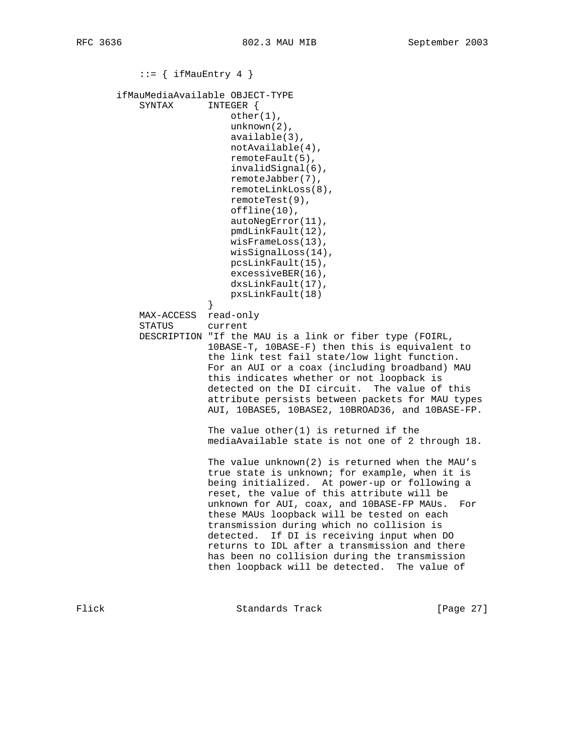```
::= { ifMauEntry 4 }
        ifMauMediaAvailable OBJECT-TYPE
           SYNTAX INTEGER {
                            other(1),
                            unknown(2),
                            available(3),
                            notAvailable(4),
                            remoteFault(5),
                            invalidSignal(6),
                            remoteJabber(7),
                            remoteLinkLoss(8),
                            remoteTest(9),
                            offline(10),
                            autoNegError(11),
                            pmdLinkFault(12),
                            wisFrameLoss(13),
                            wisSignalLoss(14),
                           pcsLinkFault(15),
                            excessiveBER(16),
                            dxsLinkFault(17),
                       pxsLinkFault(18)<br>}
 }
           MAX-ACCESS read-only
           STATUS current
           DESCRIPTION "If the MAU is a link or fiber type (FOIRL,
                        10BASE-T, 10BASE-F) then this is equivalent to
                        the link test fail state/low light function.
                        For an AUI or a coax (including broadband) MAU
                        this indicates whether or not loopback is
                        detected on the DI circuit. The value of this
                        attribute persists between packets for MAU types
                       AUI, 10BASE5, 10BASE2, 10BROAD36, and 10BASE-FP.
                       The value other(1) is returned if the
                       mediaAvailable state is not one of 2 through 18.
                        The value unknown(2) is returned when the MAU's
                        true state is unknown; for example, when it is
                       being initialized. At power-up or following a
                       reset, the value of this attribute will be
                       unknown for AUI, coax, and 10BASE-FP MAUs. For
                       these MAUs loopback will be tested on each
                        transmission during which no collision is
                       detected. If DI is receiving input when DO
                       returns to IDL after a transmission and there
                       has been no collision during the transmission
                        then loopback will be detected. The value of
```
Flick **Standards Track** [Page 27]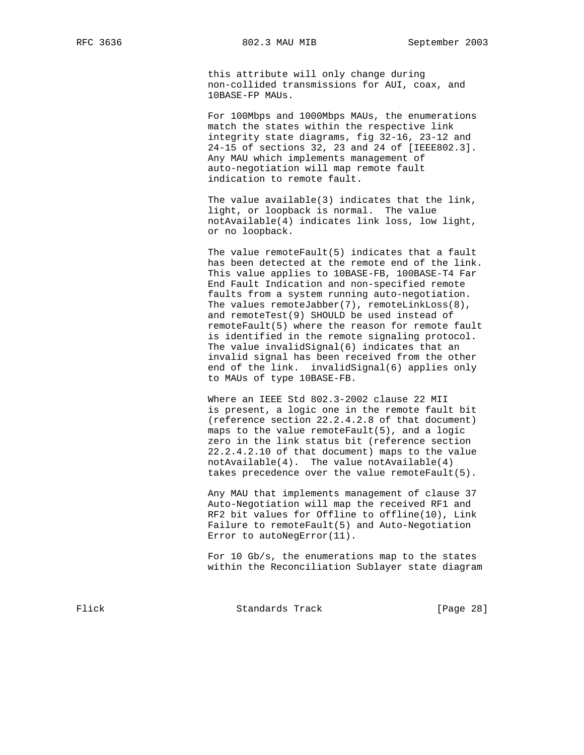this attribute will only change during non-collided transmissions for AUI, coax, and 10BASE-FP MAUs.

 For 100Mbps and 1000Mbps MAUs, the enumerations match the states within the respective link integrity state diagrams, fig 32-16, 23-12 and 24-15 of sections 32, 23 and 24 of [IEEE802.3]. Any MAU which implements management of auto-negotiation will map remote fault indication to remote fault.

 The value available(3) indicates that the link, light, or loopback is normal. The value notAvailable(4) indicates link loss, low light, or no loopback.

 The value remoteFault(5) indicates that a fault has been detected at the remote end of the link. This value applies to 10BASE-FB, 100BASE-T4 Far End Fault Indication and non-specified remote faults from a system running auto-negotiation. The values remoteJabber(7), remoteLinkLoss(8), and remoteTest(9) SHOULD be used instead of remoteFault(5) where the reason for remote fault is identified in the remote signaling protocol. The value invalidSignal(6) indicates that an invalid signal has been received from the other end of the link. invalidSignal(6) applies only to MAUs of type 10BASE-FB.

 Where an IEEE Std 802.3-2002 clause 22 MII is present, a logic one in the remote fault bit (reference section 22.2.4.2.8 of that document) maps to the value remoteFault(5), and a logic zero in the link status bit (reference section 22.2.4.2.10 of that document) maps to the value notAvailable(4). The value notAvailable(4) takes precedence over the value remoteFault(5).

 Any MAU that implements management of clause 37 Auto-Negotiation will map the received RF1 and RF2 bit values for Offline to offline(10), Link Failure to remoteFault(5) and Auto-Negotiation Error to autoNegError(11).

 For 10 Gb/s, the enumerations map to the states within the Reconciliation Sublayer state diagram

Flick Standards Track [Page 28]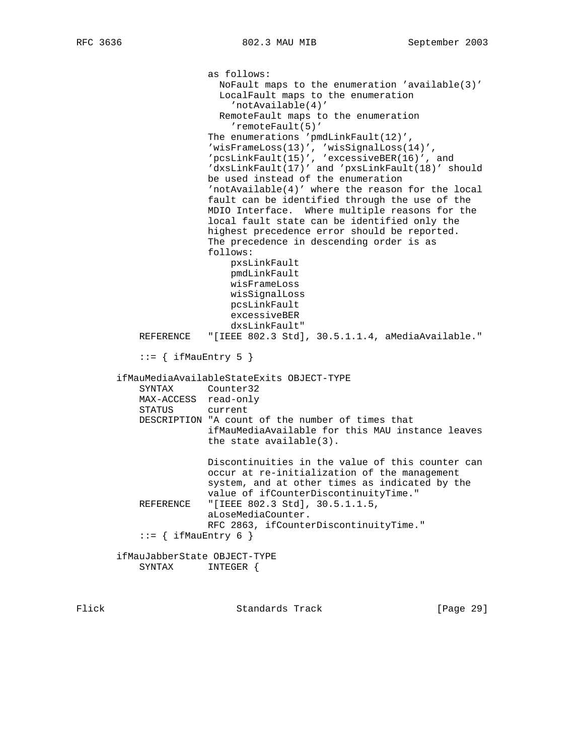as follows: NoFault maps to the enumeration 'available(3)' LocalFault maps to the enumeration 'notAvailable(4)' RemoteFault maps to the enumeration 'remoteFault(5)' The enumerations 'pmdLinkFault(12)', 'wisFrameLoss(13)', 'wisSignalLoss(14)', 'pcsLinkFault(15)', 'excessiveBER(16)', and 'dxsLinkFault(17)' and 'pxsLinkFault(18)' should be used instead of the enumeration 'notAvailable(4)' where the reason for the local fault can be identified through the use of the MDIO Interface. Where multiple reasons for the local fault state can be identified only the highest precedence error should be reported. The precedence in descending order is as follows: pxsLinkFault pmdLinkFault wisFrameLoss wisSignalLoss pcsLinkFault excessiveBER dxsLinkFault" REFERENCE "[IEEE 802.3 Std], 30.5.1.1.4, aMediaAvailable."  $::=$  { ifMauEntry 5 } ifMauMediaAvailableStateExits OBJECT-TYPE SYNTAX Counter32 MAX-ACCESS read-only STATUS current DESCRIPTION "A count of the number of times that ifMauMediaAvailable for this MAU instance leaves the state available(3). Discontinuities in the value of this counter can occur at re-initialization of the management system, and at other times as indicated by the value of ifCounterDiscontinuityTime."<br>REFERENCE "[IEEE 802.3 Std], 30.5.1.1.5, "[IEEE 802.3 Std], 30.5.1.1.5, aLoseMediaCounter. RFC 2863, ifCounterDiscontinuityTime."  $::=$  { ifMauEntry 6 } ifMauJabberState OBJECT-TYPE SYNTAX INTEGER {

Flick Standards Track [Page 29]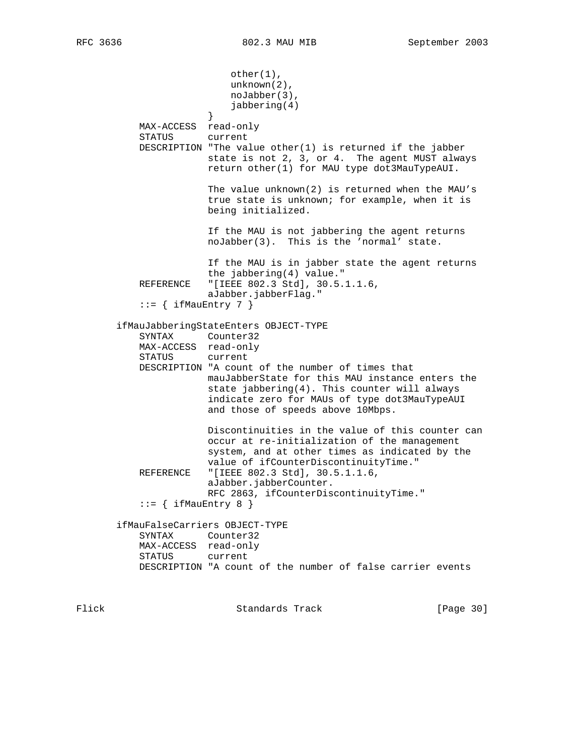other(1), unknown(2), noJabber(3), jabbering(4) } MAX-ACCESS read-only STATUS current DESCRIPTION "The value other $(1)$  is returned if the jabber state is not 2, 3, or 4. The agent MUST always return other(1) for MAU type dot3MauTypeAUI. The value unknown(2) is returned when the MAU's true state is unknown; for example, when it is being initialized. If the MAU is not jabbering the agent returns noJabber(3). This is the 'normal' state. If the MAU is in jabber state the agent returns the jabbering(4) value." REFERENCE "[IEEE 802.3 Std], 30.5.1.1.6, aJabber.jabberFlag."  $::=$  { ifMauEntry 7 } ifMauJabberingStateEnters OBJECT-TYPE SYNTAX Counter32 MAX-ACCESS read-only STATUS current DESCRIPTION "A count of the number of times that mauJabberState for this MAU instance enters the state jabbering(4). This counter will always indicate zero for MAUs of type dot3MauTypeAUI and those of speeds above 10Mbps. Discontinuities in the value of this counter can occur at re-initialization of the management system, and at other times as indicated by the value of ifCounterDiscontinuityTime." REFERENCE "[IEEE 802.3 Std], 30.5.1.1.6, aJabber.jabberCounter. RFC 2863, ifCounterDiscontinuityTime."  $::=$  { ifMauEntry 8 } ifMauFalseCarriers OBJECT-TYPE SYNTAX Counter32 MAX-ACCESS read-only STATUS current DESCRIPTION "A count of the number of false carrier events

Flick **Standards Track** [Page 30]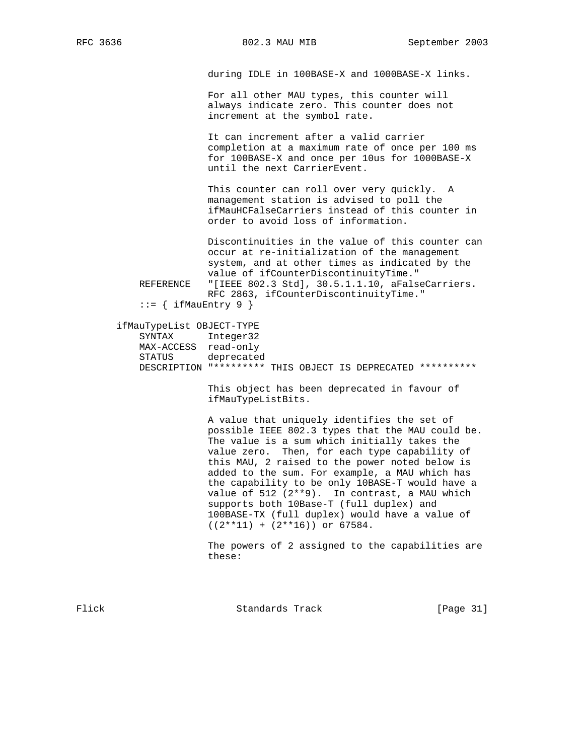during IDLE in 100BASE-X and 1000BASE-X links.

 For all other MAU types, this counter will always indicate zero. This counter does not increment at the symbol rate.

 It can increment after a valid carrier completion at a maximum rate of once per 100 ms for 100BASE-X and once per 10us for 1000BASE-X until the next CarrierEvent.

 This counter can roll over very quickly. A management station is advised to poll the ifMauHCFalseCarriers instead of this counter in order to avoid loss of information.

 Discontinuities in the value of this counter can occur at re-initialization of the management system, and at other times as indicated by the value of ifCounterDiscontinuityTime." REFERENCE "[IEEE 802.3 Std], 30.5.1.1.10, aFalseCarriers. RFC 2863, ifCounterDiscontinuityTime."

 $::=$  { ifMauEntry 9 }

### ifMauTypeList OBJECT-TYPE

 SYNTAX Integer32 MAX-ACCESS read-only STATUS deprecated DESCRIPTION "\*\*\*\*\*\*\*\*\* THIS OBJECT IS DEPRECATED \*\*\*\*\*\*\*\*\*\*

> This object has been deprecated in favour of ifMauTypeListBits.

 A value that uniquely identifies the set of possible IEEE 802.3 types that the MAU could be. The value is a sum which initially takes the value zero. Then, for each type capability of this MAU, 2 raised to the power noted below is added to the sum. For example, a MAU which has the capability to be only 10BASE-T would have a value of 512 (2\*\*9). In contrast, a MAU which supports both 10Base-T (full duplex) and 100BASE-TX (full duplex) would have a value of  $((2**11) + (2**16))$  or 67584.

 The powers of 2 assigned to the capabilities are these:

Flick Standards Track [Page 31]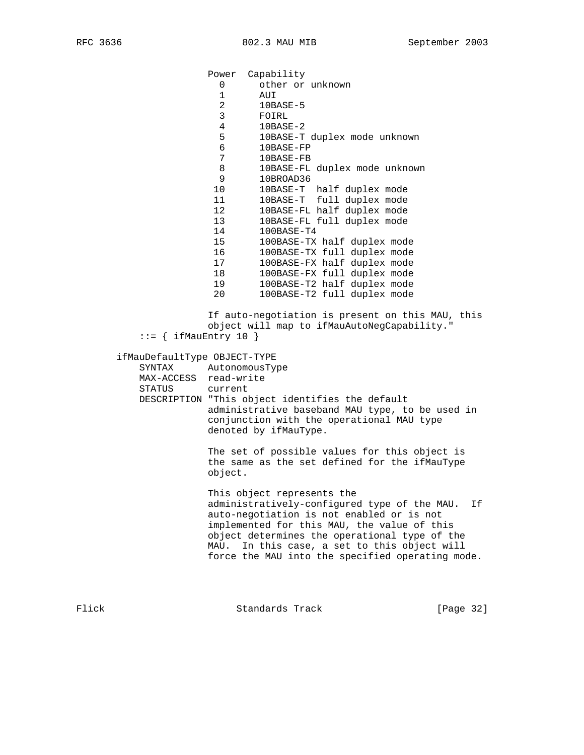Power Capability 0 other or unknown 1 AUI 2 10BASE-5 3 FOIRL 4 10BASE-2<br>5 10BASE-T 10BASE-T duplex mode unknown 6 10BASE-FP 7 10BASE-FB 8 10BASE-FL duplex mode unknown 9 10BROAD36 10 10BASE-T half duplex mode 11 10BASE-T full duplex mode 12 10BASE-FL half duplex mode 13 10BASE-FL full duplex mode 14 100BASE-T4 15 100BASE-TX half duplex mode 16 100BASE-TX full duplex mode 17 100BASE-FX half duplex mode 18 100BASE-FX full duplex mode 19 100BASE-T2 half duplex mode 20 100BASE-T2 full duplex mode If auto-negotiation is present on this MAU, this object will map to ifMauAutoNegCapability."  $::=$  { ifMauEntry 10 } ifMauDefaultType OBJECT-TYPE SYNTAX AutonomousType MAX-ACCESS read-write STATUS current DESCRIPTION "This object identifies the default administrative baseband MAU type, to be used in conjunction with the operational MAU type denoted by ifMauType. The set of possible values for this object is the same as the set defined for the ifMauType object. This object represents the administratively-configured type of the MAU. If auto-negotiation is not enabled or is not implemented for this MAU, the value of this object determines the operational type of the MAU. In this case, a set to this object will force the MAU into the specified operating mode.

Flick Standards Track [Page 32]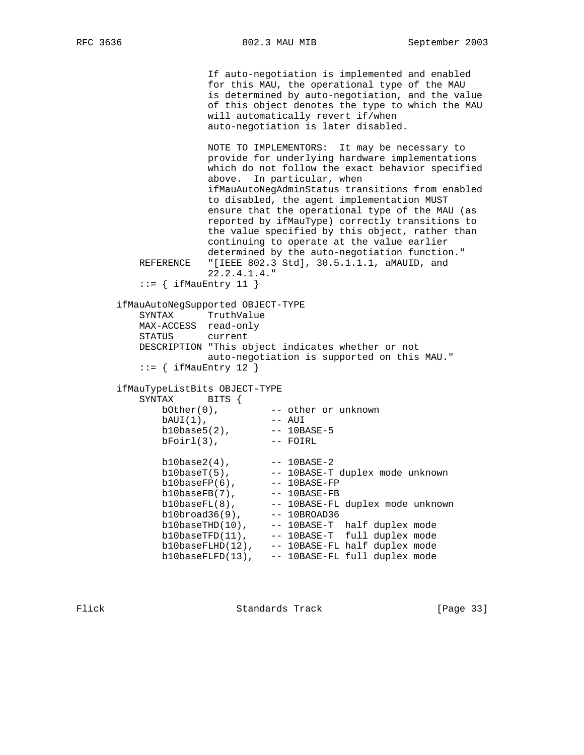```
 If auto-negotiation is implemented and enabled
                    for this MAU, the operational type of the MAU
                    is determined by auto-negotiation, and the value
                    of this object denotes the type to which the MAU
                    will automatically revert if/when
                    auto-negotiation is later disabled.
                    NOTE TO IMPLEMENTORS: It may be necessary to
                    provide for underlying hardware implementations
                    which do not follow the exact behavior specified
                    above. In particular, when
                    ifMauAutoNegAdminStatus transitions from enabled
                    to disabled, the agent implementation MUST
                    ensure that the operational type of the MAU (as
                    reported by ifMauType) correctly transitions to
                    the value specified by this object, rather than
                    continuing to operate at the value earlier
                    determined by the auto-negotiation function."
          REFERENCE "[IEEE 802.3 Std], 30.5.1.1.1, aMAUID, and
                    22.2.4.1.4."
         ::= { ifMauEntry 11 }
       ifMauAutoNegSupported OBJECT-TYPE
          SYNTAX TruthValue
          MAX-ACCESS read-only
          STATUS current
          DESCRIPTION "This object indicates whether or not
                    auto-negotiation is supported on this MAU."
         ::= { ifMauEntry 12 }
 ifMauTypeListBits OBJECT-TYPE
 SYNTAX BITS {
bOther(0), --- other or unknown
 bAUI(1), -- AUI
 b10base5(2), -- 10BASE-5
 bFoirl(3), -- FOIRL
 b10base2(4), -- 10BASE-2
 b10baseT(5), -- 10BASE-T duplex mode unknown
 b10baseFP(6), -- 10BASE-FP
b10baseFB(7),    -- 10BASE-FB
 b10baseFL(8), -- 10BASE-FL duplex mode unknown
 b10broad36(9), -- 10BROAD36
 b10baseTHD(10), -- 10BASE-T half duplex mode
 b10baseTFD(11), -- 10BASE-T full duplex mode
 b10baseFLHD(12), -- 10BASE-FL half duplex mode
             b10baseFLFD(13), -- 10BASE-FL full duplex mode
```
Flick Standards Track [Page 33]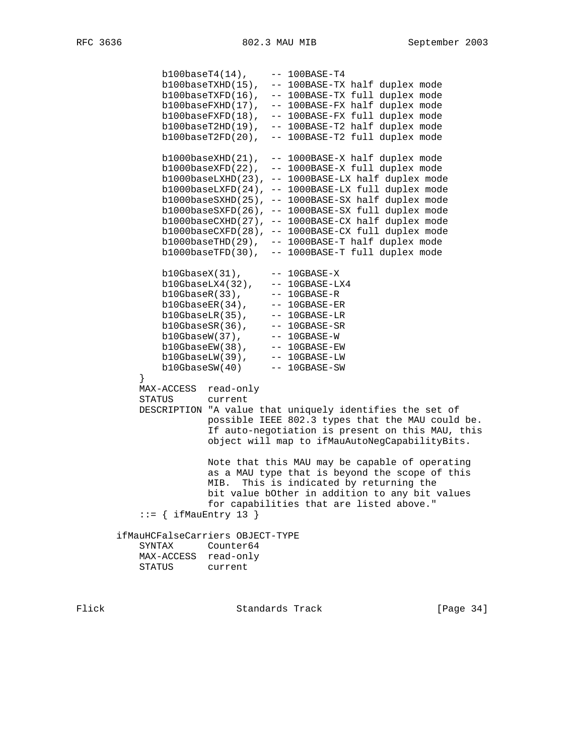```
 b100baseT4(14), -- 100BASE-T4
 b100baseTXHD(15), -- 100BASE-TX half duplex mode
 b100baseTXFD(16), -- 100BASE-TX full duplex mode
 b100baseFXHD(17), -- 100BASE-FX half duplex mode
              b100baseFXFD(18), -- 100BASE-FX full duplex mode
              b100baseT2HD(19), -- 100BASE-T2 half duplex mode
              b100baseT2FD(20), -- 100BASE-T2 full duplex mode
              b1000baseXHD(21), -- 1000BASE-X half duplex mode
              b1000baseXFD(22), -- 1000BASE-X full duplex mode
              b1000baseLXHD(23), -- 1000BASE-LX half duplex mode
              b1000baseLXFD(24), -- 1000BASE-LX full duplex mode
              b1000baseSXHD(25), -- 1000BASE-SX half duplex mode
              b1000baseSXFD(26), -- 1000BASE-SX full duplex mode
              b1000baseCXHD(27), -- 1000BASE-CX half duplex mode
              b1000baseCXFD(28), -- 1000BASE-CX full duplex mode
              b1000baseTHD(29), -- 1000BASE-T half duplex mode
              b1000baseTFD(30), -- 1000BASE-T full duplex mode
              b10GbaseX(31), -- 10GBASE-X
              b10GbaseLX4(32), -- 10GBASE-LX4
 b10GbaseR(33), -- 10GBASE-R
 b10GbaseER(34), -- 10GBASE-ER
 b10GbaseLR(35), -- 10GBASE-LR
 b10GbaseSR(36), -- 10GBASE-SR
 b10GbaseW(37), -- 10GBASE-W
b10GbaseEW(38),    -- 10GBASE-EW
 b10GbaseLW(39), -- 10GBASE-LW
 b10GbaseSW(40) -- 10GBASE-SW
 }
          MAX-ACCESS read-only
          STATUS current
          DESCRIPTION "A value that uniquely identifies the set of
                    possible IEEE 802.3 types that the MAU could be.
                     If auto-negotiation is present on this MAU, this
                     object will map to ifMauAutoNegCapabilityBits.
                     Note that this MAU may be capable of operating
                     as a MAU type that is beyond the scope of this
                     MIB. This is indicated by returning the
                     bit value bOther in addition to any bit values
                     for capabilities that are listed above."
         ::= { ifMauEntry 13 }
       ifMauHCFalseCarriers OBJECT-TYPE
          SYNTAX Counter64
          MAX-ACCESS read-only
          STATUS current
```
Flick Standards Track [Page 34]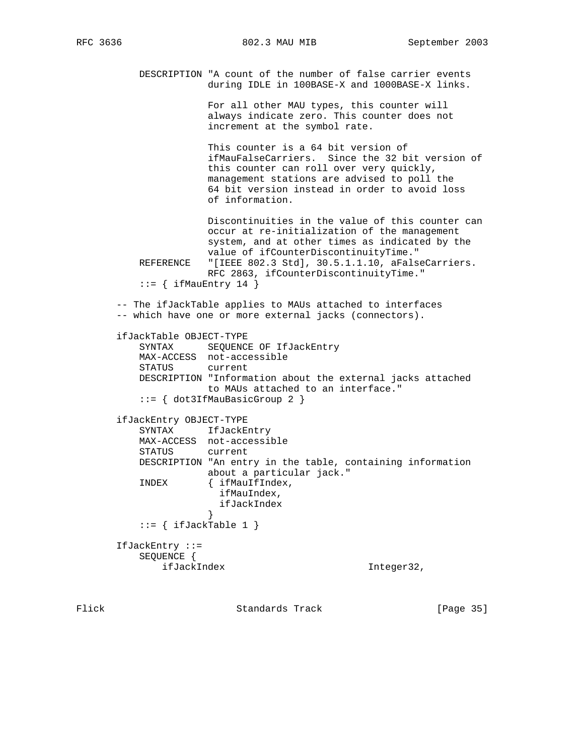DESCRIPTION "A count of the number of false carrier events during IDLE in 100BASE-X and 1000BASE-X links. For all other MAU types, this counter will always indicate zero. This counter does not increment at the symbol rate. This counter is a 64 bit version of ifMauFalseCarriers. Since the 32 bit version of this counter can roll over very quickly, management stations are advised to poll the 64 bit version instead in order to avoid loss of information. Discontinuities in the value of this counter can occur at re-initialization of the management system, and at other times as indicated by the value of ifCounterDiscontinuityTime."<br>REFERENCE "[IEEE 802.3 Std], 30.5.1.1.10, aFals "[IEEE 802.3 Std], 30.5.1.1.10, aFalseCarriers. RFC 2863, ifCounterDiscontinuityTime."  $::=$  { ifMauEntry 14 } -- The ifJackTable applies to MAUs attached to interfaces -- which have one or more external jacks (connectors). ifJackTable OBJECT-TYPE SYNTAX SEQUENCE OF IfJackEntry MAX-ACCESS not-accessible STATUS current DESCRIPTION "Information about the external jacks attached to MAUs attached to an interface." ::= { dot3IfMauBasicGroup 2 } ifJackEntry OBJECT-TYPE SYNTAX IfJackEntry MAX-ACCESS not-accessible STATUS current DESCRIPTION "An entry in the table, containing information about a particular jack." INDEX { ifMauIfIndex, ifMauIndex, ifJackIndex }  $::=$  { ifJackTable 1 } IfJackEntry ::= SEQUENCE { ifJackIndex Integer32,

Flick **Standards Track** [Page 35]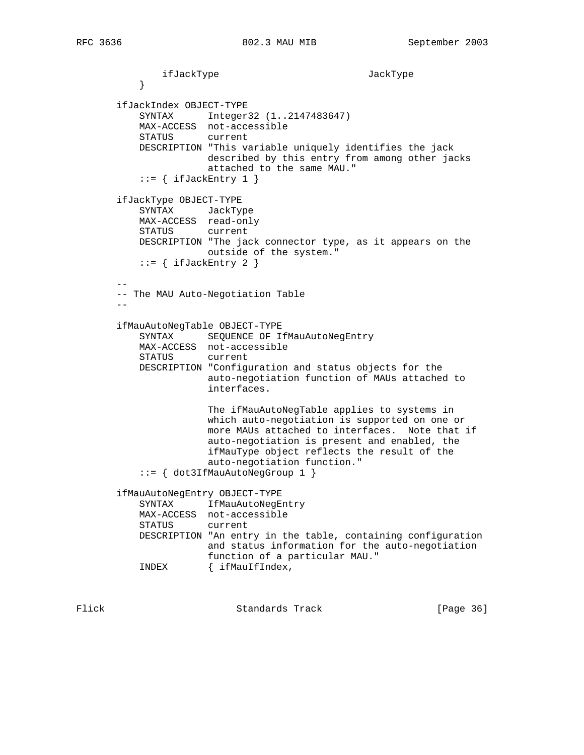```
ifJackType JackType<br>}
 }
       ifJackIndex OBJECT-TYPE
           SYNTAX Integer32 (1..2147483647)
           MAX-ACCESS not-accessible
           STATUS current
           DESCRIPTION "This variable uniquely identifies the jack
                     described by this entry from among other jacks
                      attached to the same MAU."
          ::= { ifJackEntry 1 }
       ifJackType OBJECT-TYPE
           SYNTAX JackType
           MAX-ACCESS read-only
           STATUS current
           DESCRIPTION "The jack connector type, as it appears on the
                     outside of the system."
          ::= { ifJackEntry 2 }
 --
       -- The MAU Auto-Negotiation Table
      - ifMauAutoNegTable OBJECT-TYPE
 SYNTAX SEQUENCE OF IfMauAutoNegEntry
 MAX-ACCESS not-accessible
           STATUS current
           DESCRIPTION "Configuration and status objects for the
                     auto-negotiation function of MAUs attached to
                      interfaces.
                      The ifMauAutoNegTable applies to systems in
                      which auto-negotiation is supported on one or
                      more MAUs attached to interfaces. Note that if
                      auto-negotiation is present and enabled, the
                      ifMauType object reflects the result of the
                      auto-negotiation function."
           ::= { dot3IfMauAutoNegGroup 1 }
       ifMauAutoNegEntry OBJECT-TYPE
          SYNTAX IfMauAutoNegEntry
           MAX-ACCESS not-accessible
           STATUS current
           DESCRIPTION "An entry in the table, containing configuration
                     and status information for the auto-negotiation
                      function of a particular MAU."
           INDEX { ifMauIfIndex,
```
Flick Standards Track [Page 36]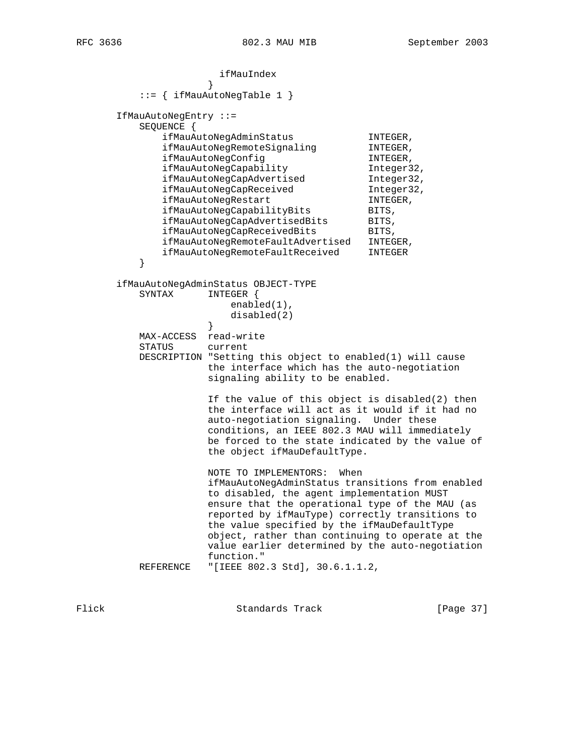ifMauIndex<br>} } ::= { ifMauAutoNegTable 1 } IfMauAutoNegEntry ::= SEQUENCE { ENCE {<br>ifMauAutoNegAdminStatus INTEGER, ifMauAutoNegRemoteSignaling INTEGER, ifMauAutoNegConfig in the INTEGER, ifMauAutoNegCapability Integer32, ifMauAutoNegCapAdvertised Integer32, ifMauAutoNegCapReceived Integer32, ifMauAutoNegCapAdvertised<br>
ifMauAutoNegCapReceived<br>
ifMauAutoNegRestart<br>
INTEGER, ifMauAutoNegCapabilityBits BITS, ifMauAutoNegCapAdvertisedBits BITS, ifMauAutoNegCapReceivedBits BITS, ifMauAutoNegRemoteFaultAdvertised INTEGER, ifMauAutoNegRemoteFaultReceived INTEGER } ifMauAutoNegAdminStatus OBJECT-TYPE SYNTAX INTEGER { enabled(1), disabled(2)<br>} } MAX-ACCESS read-write STATUS current DESCRIPTION "Setting this object to enabled(1) will cause the interface which has the auto-negotiation signaling ability to be enabled. If the value of this object is disabled(2) then the interface will act as it would if it had no auto-negotiation signaling. Under these conditions, an IEEE 802.3 MAU will immediately be forced to the state indicated by the value of the object ifMauDefaultType. NOTE TO IMPLEMENTORS: When ifMauAutoNegAdminStatus transitions from enabled to disabled, the agent implementation MUST ensure that the operational type of the MAU (as reported by ifMauType) correctly transitions to the value specified by the ifMauDefaultType object, rather than continuing to operate at the value earlier determined by the auto-negotiation function." REFERENCE "[IEEE 802.3 Std], 30.6.1.1.2,

Flick **Standards Track** [Page 37]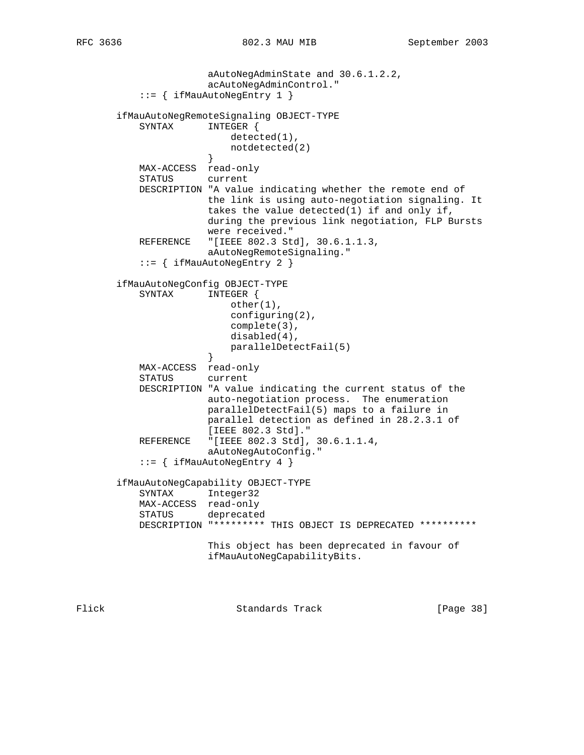```
 aAutoNegAdminState and 30.6.1.2.2,
                       acAutoNegAdminControl."
           ::= { ifMauAutoNegEntry 1 }
       ifMauAutoNegRemoteSignaling OBJECT-TYPE
           SYNTAX INTEGER {
                          detected(1),
                      notdetected(2)<br>}
 }
           MAX-ACCESS read-only
           STATUS current
           DESCRIPTION "A value indicating whether the remote end of
                      the link is using auto-negotiation signaling. It
                       takes the value detected(1) if and only if,
                       during the previous link negotiation, FLP Bursts
                       were received."
           REFERENCE "[IEEE 802.3 Std], 30.6.1.1.3,
                       aAutoNegRemoteSignaling."
           ::= { ifMauAutoNegEntry 2 }
       ifMauAutoNegConfig OBJECT-TYPE
           SYNTAX INTEGER {
                          other(1),
                          configuring(2),
                          complete(3),
                           disabled(4),
                      parallelDetectFail(5)<br>}
 }
           MAX-ACCESS read-only
           STATUS current
           DESCRIPTION "A value indicating the current status of the
                      auto-negotiation process. The enumeration
                       parallelDetectFail(5) maps to a failure in
                      parallel detection as defined in 28.2.3.1 of
                      [IEEE 802.3 Std]."
           REFERENCE "[IEEE 802.3 Std], 30.6.1.1.4,
                      aAutoNegAutoConfig."
           ::= { ifMauAutoNegEntry 4 }
       ifMauAutoNegCapability OBJECT-TYPE
           SYNTAX Integer32
           MAX-ACCESS read-only
           STATUS deprecated
           DESCRIPTION "********* THIS OBJECT IS DEPRECATED **********
                       This object has been deprecated in favour of
                       ifMauAutoNegCapabilityBits.
```
Flick Standards Track [Page 38]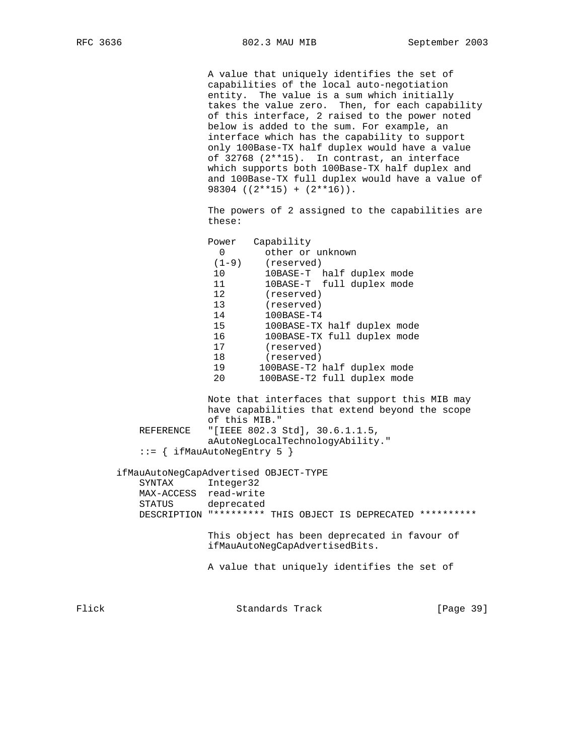A value that uniquely identifies the set of capabilities of the local auto-negotiation entity. The value is a sum which initially takes the value zero. Then, for each capability of this interface, 2 raised to the power noted below is added to the sum. For example, an interface which has the capability to support only 100Base-TX half duplex would have a value of 32768 (2\*\*15). In contrast, an interface which supports both 100Base-TX half duplex and and 100Base-TX full duplex would have a value of 98304  $((2**15) + (2**16))$ .

 The powers of 2 assigned to the capabilities are these:

|       |                                                                                 | Power                                                       | Capability                     |                                                                                                  |           |  |  |  |
|-------|---------------------------------------------------------------------------------|-------------------------------------------------------------|--------------------------------|--------------------------------------------------------------------------------------------------|-----------|--|--|--|
|       |                                                                                 | $\Omega$                                                    | other or unknown               |                                                                                                  |           |  |  |  |
|       |                                                                                 | $(1 - 9)$                                                   | (reserved)                     |                                                                                                  |           |  |  |  |
|       |                                                                                 | 10 <sup>°</sup>                                             |                                | 10BASE-T half duplex mode                                                                        |           |  |  |  |
|       |                                                                                 | 11                                                          |                                | 10BASE-T full duplex mode                                                                        |           |  |  |  |
|       |                                                                                 | 12                                                          | (reserved)                     |                                                                                                  |           |  |  |  |
|       |                                                                                 | 13 <sup>2</sup>                                             | (reserved)                     |                                                                                                  |           |  |  |  |
|       |                                                                                 | 14                                                          | 100BASE-T4                     |                                                                                                  |           |  |  |  |
|       |                                                                                 | 15                                                          |                                | 100BASE-TX half duplex mode                                                                      |           |  |  |  |
|       |                                                                                 | 16                                                          |                                | 100BASE-TX full duplex mode                                                                      |           |  |  |  |
|       |                                                                                 | 17                                                          | (reserved)                     |                                                                                                  |           |  |  |  |
|       |                                                                                 | 18                                                          | (reserved)                     |                                                                                                  |           |  |  |  |
|       |                                                                                 | 19                                                          |                                | 100BASE-T2 half duplex mode                                                                      |           |  |  |  |
|       |                                                                                 | 20                                                          |                                | 100BASE-T2 full duplex mode                                                                      |           |  |  |  |
|       |                                                                                 |                                                             |                                | Note that interfaces that support this MIB may<br>have capabilities that extend beyond the scope |           |  |  |  |
|       |                                                                                 | of this MIB."                                               |                                |                                                                                                  |           |  |  |  |
|       | "[IEEE 802.3 Std], 30.6.1.1.5,<br>REFERENCE<br>aAutoNegLocalTechnologyAbility." |                                                             |                                |                                                                                                  |           |  |  |  |
|       |                                                                                 |                                                             |                                |                                                                                                  |           |  |  |  |
|       | $ ::= \{ ifMauAutoNeqEntry 5 \}$<br>ifMauAutoNegCapAdvertised OBJECT-TYPE       |                                                             |                                |                                                                                                  |           |  |  |  |
|       |                                                                                 |                                                             |                                |                                                                                                  |           |  |  |  |
|       | SYNTAX                                                                          | Integer32                                                   |                                |                                                                                                  |           |  |  |  |
|       | MAX-ACCESS read-write                                                           |                                                             |                                |                                                                                                  |           |  |  |  |
|       | STATUS                                                                          | deprecated                                                  |                                |                                                                                                  |           |  |  |  |
|       |                                                                                 | DESCRIPTION "********* THIS OBJECT IS DEPRECATED ********** |                                |                                                                                                  |           |  |  |  |
|       |                                                                                 |                                                             | ifMauAutoNegCapAdvertisedBits. | This object has been deprecated in favour of                                                     |           |  |  |  |
|       |                                                                                 |                                                             |                                | A value that uniquely identifies the set of                                                      |           |  |  |  |
| Flick |                                                                                 |                                                             | Standards Track                |                                                                                                  | [Page 39] |  |  |  |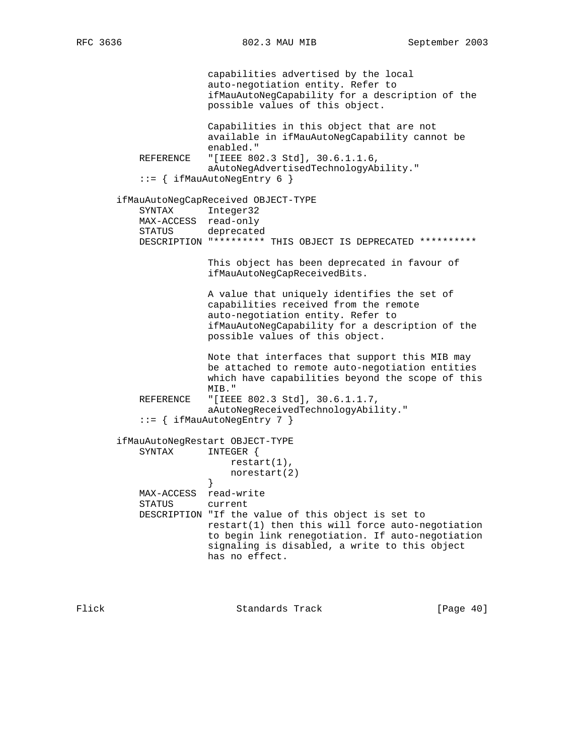capabilities advertised by the local auto-negotiation entity. Refer to ifMauAutoNegCapability for a description of the possible values of this object. Capabilities in this object that are not available in ifMauAutoNegCapability cannot be enabled." REFERENCE "[IEEE 802.3 Std], 30.6.1.1.6, aAutoNegAdvertisedTechnologyAbility." ::= { ifMauAutoNegEntry 6 } ifMauAutoNegCapReceived OBJECT-TYPE SYNTAX Integer32 MAX-ACCESS read-only STATUS deprecated DESCRIPTION "\*\*\*\*\*\*\*\*\* THIS OBJECT IS DEPRECATED \*\*\*\*\*\*\*\*\*\* This object has been deprecated in favour of ifMauAutoNegCapReceivedBits. A value that uniquely identifies the set of capabilities received from the remote auto-negotiation entity. Refer to ifMauAutoNegCapability for a description of the possible values of this object. Note that interfaces that support this MIB may be attached to remote auto-negotiation entities which have capabilities beyond the scope of this MIB." REFERENCE "[IEEE 802.3 Std], 30.6.1.1.7, aAutoNegReceivedTechnologyAbility." ::= { ifMauAutoNegEntry 7 } ifMauAutoNegRestart OBJECT-TYPE SYNTAX INTEGER { restart(1), norestart(2)<br>} } MAX-ACCESS read-write STATUS current DESCRIPTION "If the value of this object is set to restart(1) then this will force auto-negotiation to begin link renegotiation. If auto-negotiation signaling is disabled, a write to this object has no effect.

Flick Standards Track [Page 40]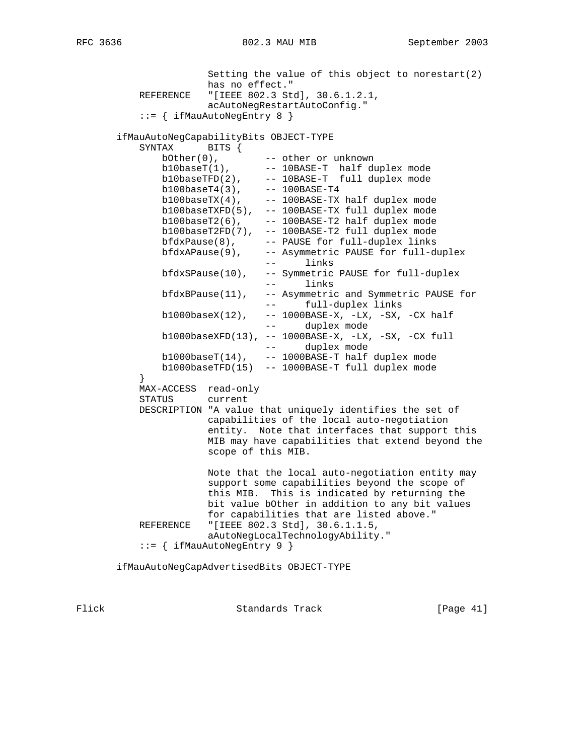Setting the value of this object to norestart(2) has no effect." REFERENCE "[IEEE 802.3 Std], 30.6.1.2.1, acAutoNegRestartAutoConfig." ::= { ifMauAutoNegEntry 8 } ifMauAutoNegCapabilityBits OBJECT-TYPE SYNTAX BITS { bOther(0), -- other or unknown  $b10baseT(1)$ ,  $-10BASE-T$  half duplex mode  $b10baseTFD(2)$ , --  $10BASE-T$  full duplex mode b100baseT4(3), -- 100BASE-T4 b100baseTX(4), -- 100BASE-TX half duplex mode b100baseTXFD(5), -- 100BASE-TX full duplex mode  $b100$ baseT $2(6)$ ,  $100$ BASE-T $2$  half duplex mode b100baseT2FD(7), -- 100BASE-T2 full duplex mode bfdxPause(8), -- PAUSE for full-duplex links bfdxAPause(9), -- Asymmetric PAUSE for full-duplex -- links bfdxSPause(10), -- Symmetric PAUSE for full-duplex -- links bfdxBPause(11), -- Asymmetric and Symmetric PAUSE for -- full-duplex links b1000baseX(12), -- 1000BASE-X, -LX, -SX, -CX half -- duplex mode b1000baseXFD(13), -- 1000BASE-X, -LX, -SX, -CX full -- duplex mode b1000baseT(14), -- 1000BASE-T half duplex mode b1000baseTFD(15) -- 1000BASE-T full duplex mode } MAX-ACCESS read-only STATUS current DESCRIPTION "A value that uniquely identifies the set of capabilities of the local auto-negotiation entity. Note that interfaces that support this MIB may have capabilities that extend beyond the scope of this MIB. Note that the local auto-negotiation entity may support some capabilities beyond the scope of this MIB. This is indicated by returning the bit value bOther in addition to any bit values for capabilities that are listed above." REFERENCE "[IEEE 802.3 Std], 30.6.1.1.5, aAutoNegLocalTechnologyAbility." ::= { ifMauAutoNegEntry 9 }

ifMauAutoNegCapAdvertisedBits OBJECT-TYPE

Flick Standards Track [Page 41]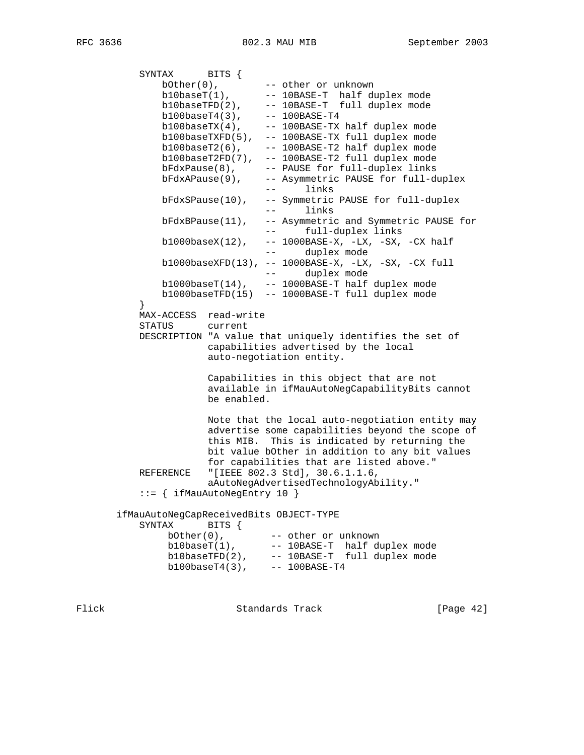SYNTAX BITS { bOther(0), -- other or unknown b10baseT(1), -- 10BASE-T half duplex mode  $b10baseTFD(2)$ , --  $10BASE-T$  full duplex mode b100baseT4(3), -- 100BASE-T4  $b100$ baseTX $(4)$ ,  $100$ BASE-TX half duplex mode b100baseTXFD(5), -- 100BASE-TX full duplex mode  $b100$ baseT2(6),  $-$  --  $100$ BASE-T2 half duplex mode b100baseT2FD(7), -- 100BASE-T2 full duplex mode bFdxPause(8), -- PAUSE for full-duplex links bFdxAPause(9), -- Asymmetric PAUSE for full-duplex -- links bFdxSPause(10), -- Symmetric PAUSE for full-duplex -- links bFdxBPause(11), -- Asymmetric and Symmetric PAUSE for -- full-duplex links b1000baseX(12), -- 1000BASE-X, -LX, -SX, -CX half -- duplex mode b1000baseXFD(13), -- 1000BASE-X, -LX, -SX, -CX full -- duplex mode b1000baseT(14), -- 1000BASE-T half duplex mode b1000baseTFD(15) -- 1000BASE-T full duplex mode } MAX-ACCESS read-write STATUS current DESCRIPTION "A value that uniquely identifies the set of capabilities advertised by the local auto-negotiation entity. Capabilities in this object that are not available in ifMauAutoNegCapabilityBits cannot be enabled. Note that the local auto-negotiation entity may advertise some capabilities beyond the scope of this MIB. This is indicated by returning the bit value bOther in addition to any bit values for capabilities that are listed above." REFERENCE "[IEEE 802.3 Std], 30.6.1.1.6, aAutoNegAdvertisedTechnologyAbility." ::= { ifMauAutoNegEntry 10 } ifMauAutoNegCapReceivedBits OBJECT-TYPE SYNTAX BITS { bOther(0), -- other or unknown  $b10$ baseT $(1)$ ,  $-10$ BASE-T half duplex mode b10baseTFD(2), -- 10BASE-T full duplex mode b100baseT4(3), -- 100BASE-T4

Flick Standards Track [Page 42]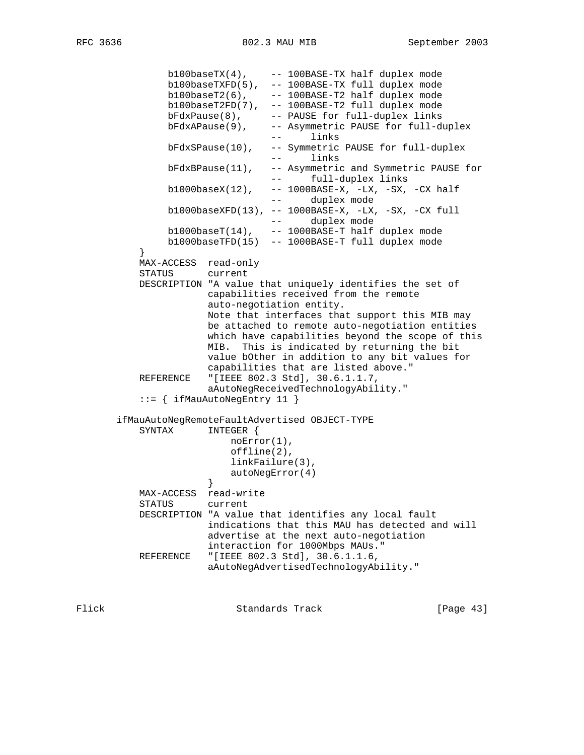```
 b100baseTX(4), -- 100BASE-TX half duplex mode
 b100baseTXFD(5), -- 100BASE-TX full duplex mode
b100baseT2(6), - - 100BASE-T2 half duplex mode
 b100baseT2FD(7), -- 100BASE-T2 full duplex mode
 bFdxPause(8), -- PAUSE for full-duplex links
 bFdxAPause(9), -- Asymmetric PAUSE for full-duplex
                               -- links
               bFdxSPause(10), -- Symmetric PAUSE for full-duplex
                               -- links
               bFdxBPause(11), -- Asymmetric and Symmetric PAUSE for
                               -- full-duplex links
              b1000baseX(12), -- 1000BASE-X, -LX, -SX, -CX half
                               -- duplex mode
               b1000baseXFD(13), -- 1000BASE-X, -LX, -SX, -CX full
                               -- duplex mode
              b1000baseT(14), -- 1000BASE-T half duplex mode
               b1000baseTFD(15) -- 1000BASE-T full duplex mode
 }
          MAX-ACCESS read-only
          STATUS current
          DESCRIPTION "A value that uniquely identifies the set of
                     capabilities received from the remote
                     auto-negotiation entity.
                     Note that interfaces that support this MIB may
                      be attached to remote auto-negotiation entities
                      which have capabilities beyond the scope of this
                      MIB. This is indicated by returning the bit
                     value bOther in addition to any bit values for
                     capabilities that are listed above."
          REFERENCE "[IEEE 802.3 Std], 30.6.1.1.7,
                     aAutoNegReceivedTechnologyAbility."
           ::= { ifMauAutoNegEntry 11 }
       ifMauAutoNegRemoteFaultAdvertised OBJECT-TYPE
          SYNTAX INTEGER {
                         noError(1),
                         offline(2),
                         linkFailure(3),
                     autoNegError(4)<br>}
 }
          MAX-ACCESS read-write
          STATUS current
          DESCRIPTION "A value that identifies any local fault
                     indications that this MAU has detected and will
                     advertise at the next auto-negotiation
                     interaction for 1000Mbps MAUs."
          REFERENCE "[IEEE 802.3 Std], 30.6.1.1.6,
                     aAutoNegAdvertisedTechnologyAbility."
```
Flick **Standards Track** [Page 43]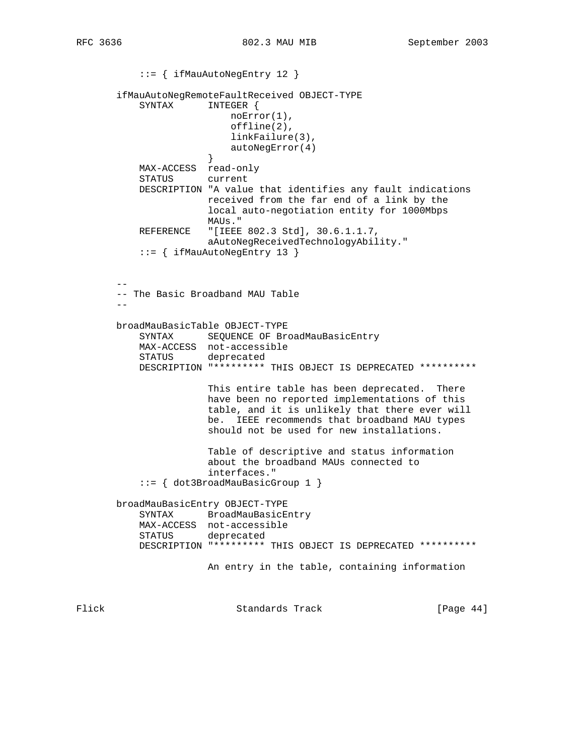```
 ::= { ifMauAutoNegEntry 12 }
       ifMauAutoNegRemoteFaultReceived OBJECT-TYPE
           SYNTAX INTEGER {
                          noError(1),
                          offline(2),
                          linkFailure(3),
                      autoNegError(4)<br>}
 }
           MAX-ACCESS read-only
           STATUS current
           DESCRIPTION "A value that identifies any fault indications
                      received from the far end of a link by the
                       local auto-negotiation entity for 1000Mbps
                      MAUs."
           REFERENCE "[IEEE 802.3 Std], 30.6.1.1.7,
                      aAutoNegReceivedTechnologyAbility."
           ::= { ifMauAutoNegEntry 13 }
 --
       -- The Basic Broadband MAU Table
      - - broadMauBasicTable OBJECT-TYPE
 SYNTAX SEQUENCE OF BroadMauBasicEntry
 MAX-ACCESS not-accessible
           STATUS deprecated
           DESCRIPTION "********* THIS OBJECT IS DEPRECATED **********
                       This entire table has been deprecated. There
                       have been no reported implementations of this
                       table, and it is unlikely that there ever will
                       be. IEEE recommends that broadband MAU types
                       should not be used for new installations.
                       Table of descriptive and status information
                       about the broadband MAUs connected to
                       interfaces."
           ::= { dot3BroadMauBasicGroup 1 }
       broadMauBasicEntry OBJECT-TYPE
           SYNTAX BroadMauBasicEntry
           MAX-ACCESS not-accessible
           STATUS deprecated
           DESCRIPTION "********* THIS OBJECT IS DEPRECATED **********
                       An entry in the table, containing information
```
Flick Standards Track [Page 44]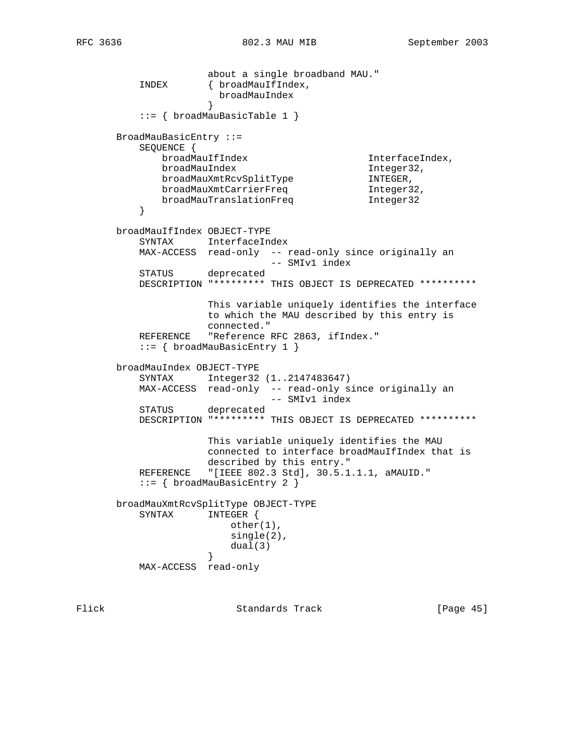about a single broadband MAU."<br>INDEX { broadMauIfIndex, { broadMauIfIndex, broadMauIndex } ::= { broadMauBasicTable 1 } BroadMauBasicEntry ::= SEQUENCE { broadMauIfIndex InterfaceIndex, broadMauIndex Integer32, broadMauXmtRcvSplitType TNTEGER, broadMauXmtCarrierFreq and Integer32, broadMauTranslationFreq 1nteger32 } broadMauIfIndex OBJECT-TYPE SYNTAX InterfaceIndex MAX-ACCESS read-only -- read-only since originally an -- SMIv1 index STATUS deprecated DESCRIPTION "\*\*\*\*\*\*\*\*\* THIS OBJECT IS DEPRECATED \*\*\*\*\*\*\*\*\*\* This variable uniquely identifies the interface to which the MAU described by this entry is connected." REFERENCE "Reference RFC 2863, ifIndex." ::= { broadMauBasicEntry 1 } broadMauIndex OBJECT-TYPE SYNTAX Integer32 (1..2147483647) MAX-ACCESS read-only -- read-only since originally an -- SMIv1 index STATUS deprecated DESCRIPTION "\*\*\*\*\*\*\*\*\* THIS OBJECT IS DEPRECATED \*\*\*\*\*\*\*\*\*\* This variable uniquely identifies the MAU connected to interface broadMauIfIndex that is described by this entry." REFERENCE "[IEEE 802.3 Std], 30.5.1.1.1, aMAUID." ::= { broadMauBasicEntry 2 } broadMauXmtRcvSplitType OBJECT-TYPE SYNTAX INTEGER { other(1), single(2), dual(3)  $\}$  } MAX-ACCESS read-only

Flick Standards Track [Page 45]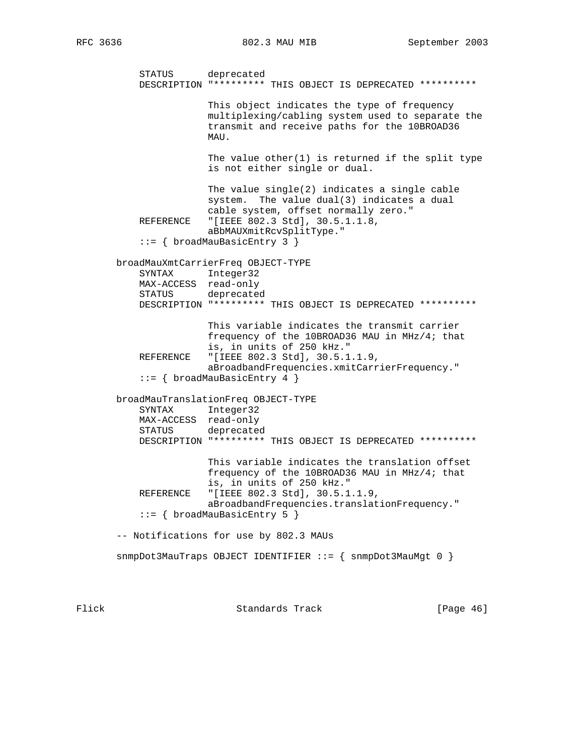STATUS deprecated DESCRIPTION "\*\*\*\*\*\*\*\*\* THIS OBJECT IS DEPRECATED \*\*\*\*\*\*\*\*\*\* This object indicates the type of frequency multiplexing/cabling system used to separate the transmit and receive paths for the 10BROAD36 MAU. The value other $(1)$  is returned if the split type is not either single or dual. The value single(2) indicates a single cable system. The value dual(3) indicates a dual cable system, offset normally zero." REFERENCE "[IEEE 802.3 Std], 30.5.1.1.8, aBbMAUXmitRcvSplitType." ::= { broadMauBasicEntry 3 } broadMauXmtCarrierFreq OBJECT-TYPE SYNTAX Integer32 MAX-ACCESS read-only STATUS deprecated DESCRIPTION "\*\*\*\*\*\*\*\*\* THIS OBJECT IS DEPRECATED \*\*\*\*\*\*\*\*\*\* This variable indicates the transmit carrier frequency of the 10BROAD36 MAU in MHz/4; that is, in units of 250 kHz." REFERENCE "[IEEE 802.3 Std], 30.5.1.1.9, aBroadbandFrequencies.xmitCarrierFrequency." ::= { broadMauBasicEntry 4 } broadMauTranslationFreq OBJECT-TYPE SYNTAX Integer32 MAX-ACCESS read-only STATUS deprecated DESCRIPTION "\*\*\*\*\*\*\*\*\* THIS OBJECT IS DEPRECATED \*\*\*\*\*\*\*\*\*\* This variable indicates the translation offset frequency of the 10BROAD36 MAU in MHz/4; that is, in units of 250 kHz."<br>REFERENCE "[IEEE 802.3 Std], 30.5.1 "[IEEE 802.3 Std], 30.5.1.1.9, aBroadbandFrequencies.translationFrequency." ::= { broadMauBasicEntry 5 } -- Notifications for use by 802.3 MAUs snmpDot3MauTraps OBJECT IDENTIFIER ::= { snmpDot3MauMgt 0 }

Flick Standards Track [Page 46]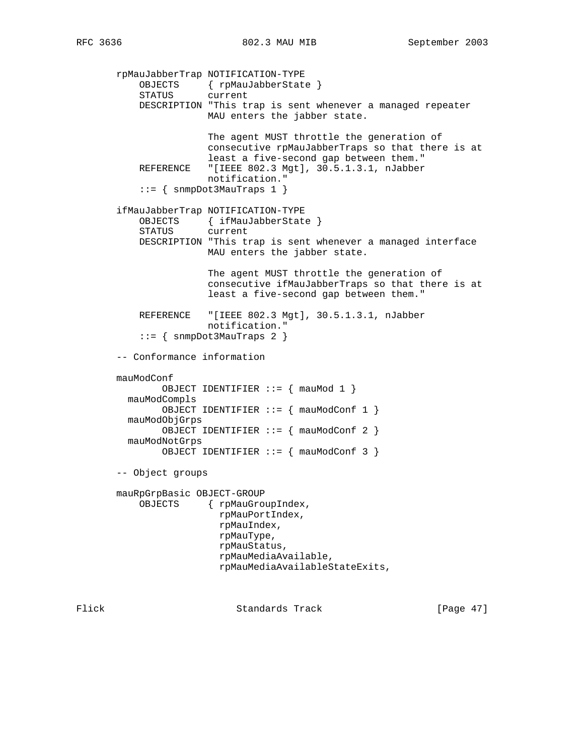rpMauJabberTrap NOTIFICATION-TYPE OBJECTS { rpMauJabberState } STATUS current DESCRIPTION "This trap is sent whenever a managed repeater MAU enters the jabber state. The agent MUST throttle the generation of consecutive rpMauJabberTraps so that there is at least a five-second gap between them." REFERENCE "[IEEE 802.3 Mgt], 30.5.1.3.1, nJabber notification." ::= { snmpDot3MauTraps 1 } ifMauJabberTrap NOTIFICATION-TYPE OBJECTS { ifMauJabberState } STATUS current DESCRIPTION "This trap is sent whenever a managed interface MAU enters the jabber state. The agent MUST throttle the generation of consecutive ifMauJabberTraps so that there is at least a five-second gap between them." REFERENCE "[IEEE 802.3 Mgt], 30.5.1.3.1, nJabber notification." ::= { snmpDot3MauTraps 2 } -- Conformance information mauModConf OBJECT IDENTIFIER ::= { mauMod 1 } mauModCompls OBJECT IDENTIFIER ::= { mauModConf 1 } mauModObjGrps OBJECT IDENTIFIER ::= { mauModConf 2 } mauModNotGrps OBJECT IDENTIFIER ::= { mauModConf 3 } -- Object groups mauRpGrpBasic OBJECT-GROUP OBJECTS { rpMauGroupIndex, rpMauPortIndex, rpMauIndex, rpMauType, rpMauStatus, rpMauMediaAvailable, rpMauMediaAvailableStateExits,

Flick **Standards Track** [Page 47]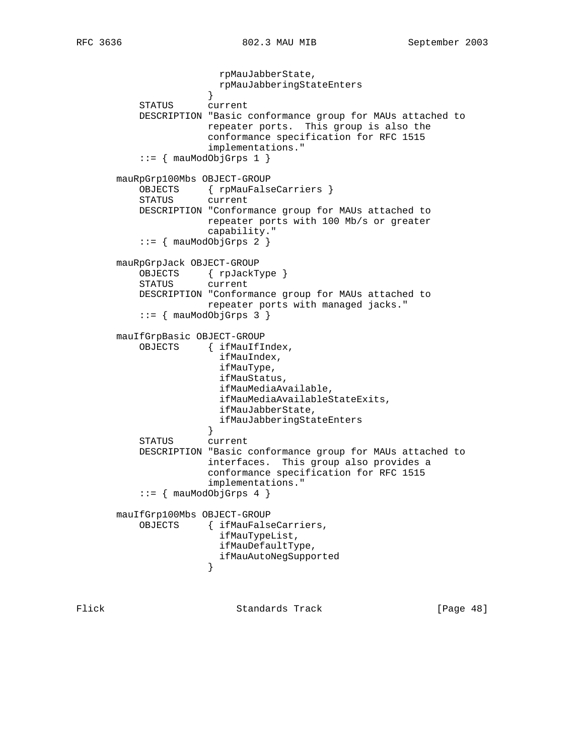rpMauJabberState, rpMauJabberingStateEnters } STATUS current DESCRIPTION "Basic conformance group for MAUs attached to repeater ports. This group is also the conformance specification for RFC 1515 implementations."  $::=$  { mauModObjGrps 1 } mauRpGrp100Mbs OBJECT-GROUP OBJECTS { rpMauFalseCarriers } STATUS current DESCRIPTION "Conformance group for MAUs attached to repeater ports with 100 Mb/s or greater capability."  $::=$   ${$  mauModObjGrps 2  ${ }$  mauRpGrpJack OBJECT-GROUP OBJECTS { rpJackType } STATUS current DESCRIPTION "Conformance group for MAUs attached to repeater ports with managed jacks."  $::=$  { mauModObjGrps 3 } mauIfGrpBasic OBJECT-GROUP OBJECTS { ifMauIfIndex, ifMauIndex, ifMauType, ifMauStatus, ifMauMediaAvailable, ifMauMediaAvailableStateExits, ifMauJabberState, ifMauJabberingStateEnters } STATUS current DESCRIPTION "Basic conformance group for MAUs attached to interfaces. This group also provides a conformance specification for RFC 1515 implementations."  $::=$   ${$  mauModObjGrps 4  ${ }$  mauIfGrp100Mbs OBJECT-GROUP OBJECTS { ifMauFalseCarriers, ifMauTypeList, ifMauDefaultType, ifMauAutoNegSupported }

Flick Standards Track [Page 48]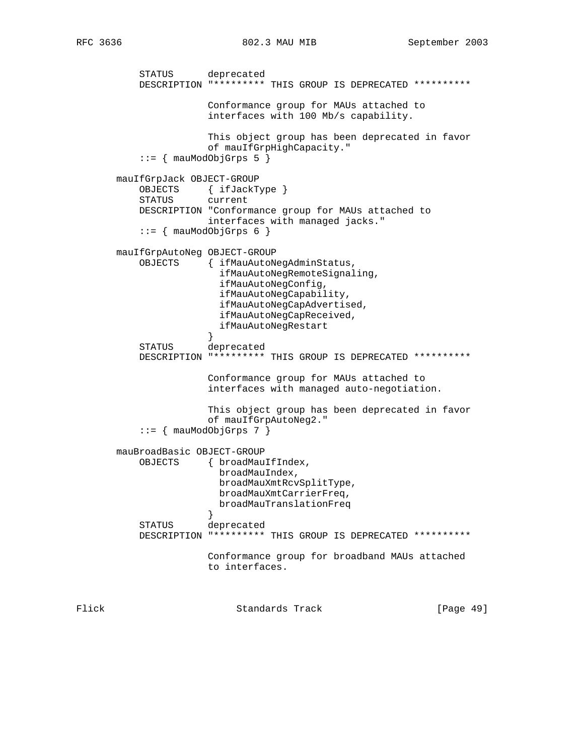STATUS deprecated DESCRIPTION "\*\*\*\*\*\*\*\*\* THIS GROUP IS DEPRECATED \*\*\*\*\*\*\*\*\*\* Conformance group for MAUs attached to interfaces with 100 Mb/s capability. This object group has been deprecated in favor of mauIfGrpHighCapacity."  $::=$  { mauModObjGrps 5 } mauIfGrpJack OBJECT-GROUP OBJECTS { ifJackType } STATUS current DESCRIPTION "Conformance group for MAUs attached to interfaces with managed jacks."  $::=$  { mauModObjGrps 6 } mauIfGrpAutoNeg OBJECT-GROUP OBJECTS { ifMauAutoNegAdminStatus, ifMauAutoNegRemoteSignaling, ifMauAutoNegConfig, ifMauAutoNegCapability, ifMauAutoNegCapAdvertised, ifMauAutoNegCapReceived, ifMauAutoNegRestart } STATUS deprecated DESCRIPTION "\*\*\*\*\*\*\*\*\* THIS GROUP IS DEPRECATED \*\*\*\*\*\*\*\*\*\* Conformance group for MAUs attached to interfaces with managed auto-negotiation. This object group has been deprecated in favor of mauIfGrpAutoNeg2."  $::=$   ${$  mauModObjGrps 7  ${ }$  mauBroadBasic OBJECT-GROUP OBJECTS { broadMauIfIndex, broadMauIndex, broadMauXmtRcvSplitType, broadMauXmtCarrierFreq, broadMauTranslationFreq } STATUS deprecated DESCRIPTION "\*\*\*\*\*\*\*\*\* THIS GROUP IS DEPRECATED \*\*\*\*\*\*\*\*\*\* Conformance group for broadband MAUs attached to interfaces.

Flick Standards Track [Page 49]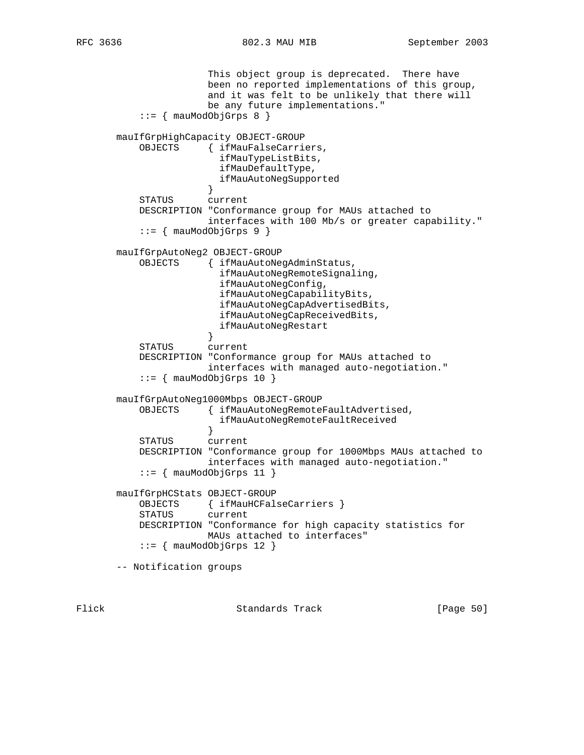This object group is deprecated. There have been no reported implementations of this group, and it was felt to be unlikely that there will be any future implementations."  $::=$   ${$  mauModObjGrps 8  ${ }$  mauIfGrpHighCapacity OBJECT-GROUP OBJECTS { ifMauFalseCarriers, ifMauTypeListBits, ifMauDefaultType, ifMauAutoNegSupported } STATUS current DESCRIPTION "Conformance group for MAUs attached to interfaces with 100 Mb/s or greater capability." ::= { mauModObjGrps 9 } mauIfGrpAutoNeg2 OBJECT-GROUP OBJECTS { ifMauAutoNegAdminStatus, ifMauAutoNegRemoteSignaling, ifMauAutoNegConfig, ifMauAutoNegCapabilityBits, ifMauAutoNegCapAdvertisedBits, ifMauAutoNegCapReceivedBits, ifMauAutoNegRestart<br>} } STATUS current DESCRIPTION "Conformance group for MAUs attached to interfaces with managed auto-negotiation."  $::=$  { mauModObjGrps 10 } mauIfGrpAutoNeg1000Mbps OBJECT-GROUP OBJECTS { ifMauAutoNegRemoteFaultAdvertised, ifMauAutoNegRemoteFaultReceived } STATUS current DESCRIPTION "Conformance group for 1000Mbps MAUs attached to interfaces with managed auto-negotiation." ::= { mauModObjGrps 11 } mauIfGrpHCStats OBJECT-GROUP OBJECTS { ifMauHCFalseCarriers } STATUS current DESCRIPTION "Conformance for high capacity statistics for MAUs attached to interfaces"  $::=$   ${$  mauModObjGrps 12  $}$ -- Notification groups

Flick Standards Track [Page 50]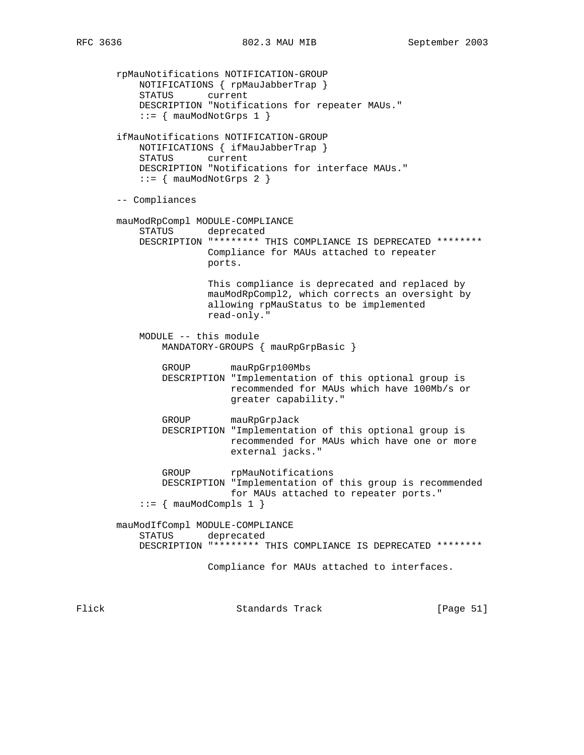rpMauNotifications NOTIFICATION-GROUP NOTIFICATIONS { rpMauJabberTrap } STATUS current DESCRIPTION "Notifications for repeater MAUs."  $::=$  { mauModNotGrps 1 } ifMauNotifications NOTIFICATION-GROUP NOTIFICATIONS { ifMauJabberTrap } STATUS current DESCRIPTION "Notifications for interface MAUs."  $::=$  { mauModNotGrps 2 } -- Compliances mauModRpCompl MODULE-COMPLIANCE STATUS deprecated DESCRIPTION "\*\*\*\*\*\*\*\* THIS COMPLIANCE IS DEPRECATED \*\*\*\*\*\*\*\* Compliance for MAUs attached to repeater ports. This compliance is deprecated and replaced by mauModRpCompl2, which corrects an oversight by allowing rpMauStatus to be implemented read-only." MODULE -- this module MANDATORY-GROUPS { mauRpGrpBasic } GROUP mauRpGrp100Mbs DESCRIPTION "Implementation of this optional group is recommended for MAUs which have 100Mb/s or greater capability." GROUP mauRpGrpJack DESCRIPTION "Implementation of this optional group is recommended for MAUs which have one or more external jacks." GROUP rpMauNotifications DESCRIPTION "Implementation of this group is recommended for MAUs attached to repeater ports."  $::=$  { mauModCompls 1 } mauModIfCompl MODULE-COMPLIANCE STATUS deprecated DESCRIPTION "\*\*\*\*\*\*\*\* THIS COMPLIANCE IS DEPRECATED \*\*\*\*\*\*\*\* Compliance for MAUs attached to interfaces.

Flick **Standards Track** [Page 51]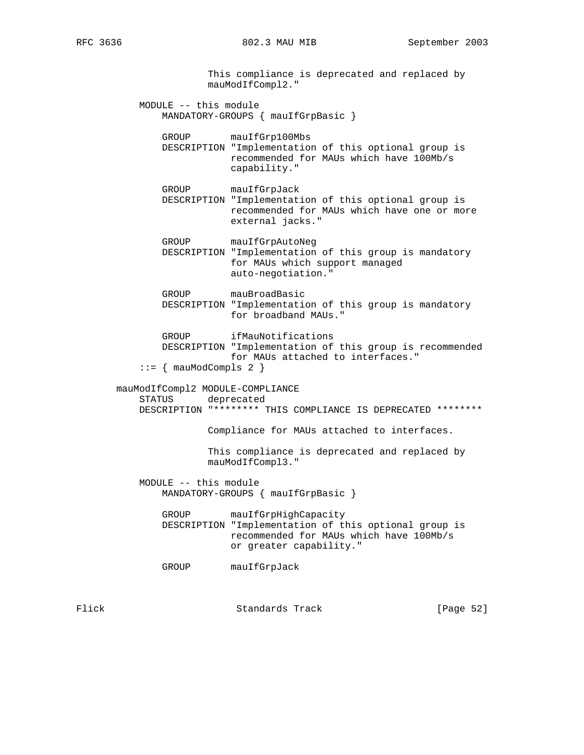This compliance is deprecated and replaced by mauModIfCompl2." MODULE -- this module MANDATORY-GROUPS { mauIfGrpBasic } GROUP mauIfGrp100Mbs DESCRIPTION "Implementation of this optional group is recommended for MAUs which have 100Mb/s capability." GROUP mauIfGrpJack DESCRIPTION "Implementation of this optional group is recommended for MAUs which have one or more external jacks." GROUP mauIfGrpAutoNeg DESCRIPTION "Implementation of this group is mandatory for MAUs which support managed auto-negotiation." GROUP mauBroadBasic DESCRIPTION "Implementation of this group is mandatory for broadband MAUs." GROUP ifMauNotifications DESCRIPTION "Implementation of this group is recommended for MAUs attached to interfaces."  $::=$   ${$  mauModCompls 2  $}$  mauModIfCompl2 MODULE-COMPLIANCE STATUS deprecated DESCRIPTION "\*\*\*\*\*\*\*\* THIS COMPLIANCE IS DEPRECATED \*\*\*\*\*\*\*\* Compliance for MAUs attached to interfaces. This compliance is deprecated and replaced by mauModIfCompl3." MODULE -- this module MANDATORY-GROUPS { mauIfGrpBasic } GROUP mauIfGrpHighCapacity DESCRIPTION "Implementation of this optional group is recommended for MAUs which have 100Mb/s or greater capability." GROUP mauIfGrpJack

Flick Standards Track [Page 52]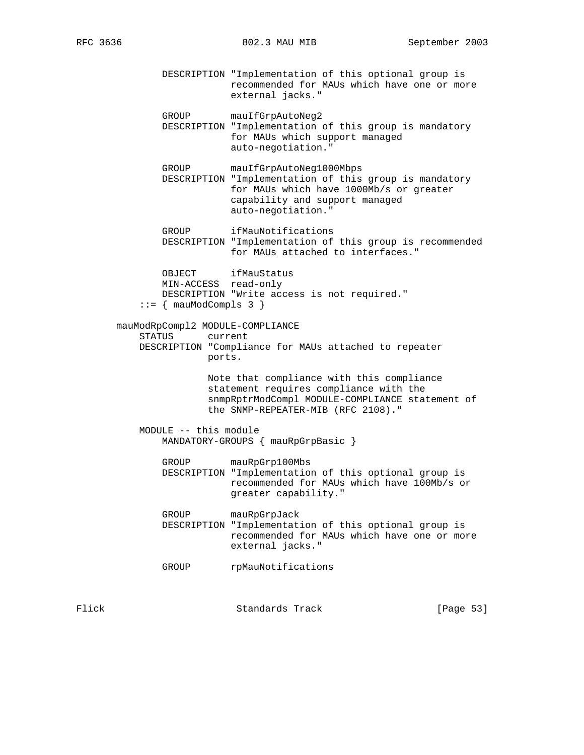DESCRIPTION "Implementation of this optional group is recommended for MAUs which have one or more external jacks."

GROUP mauIfGrpAutoNeg2

- DESCRIPTION "Implementation of this group is mandatory for MAUs which support managed auto-negotiation."
- GROUP mauIfGrpAutoNeg1000Mbps DESCRIPTION "Implementation of this group is mandatory for MAUs which have 1000Mb/s or greater capability and support managed auto-negotiation."
- GROUP ifMauNotifications DESCRIPTION "Implementation of this group is recommended for MAUs attached to interfaces."

 OBJECT ifMauStatus MIN-ACCESS read-only DESCRIPTION "Write access is not required."  $::=$  { mauModCompls 3 }

# mauModRpCompl2 MODULE-COMPLIANCE STATUS current DESCRIPTION "Compliance for MAUs attached to repeater ports.

 Note that compliance with this compliance statement requires compliance with the snmpRptrModCompl MODULE-COMPLIANCE statement of the SNMP-REPEATER-MIB (RFC 2108)."

# MODULE -- this module MANDATORY-GROUPS { mauRpGrpBasic }

 GROUP mauRpGrp100Mbs DESCRIPTION "Implementation of this optional group is recommended for MAUs which have 100Mb/s or greater capability."

 GROUP mauRpGrpJack DESCRIPTION "Implementation of this optional group is recommended for MAUs which have one or more external jacks."

GROUP rpMauNotifications

Flick Standards Track [Page 53]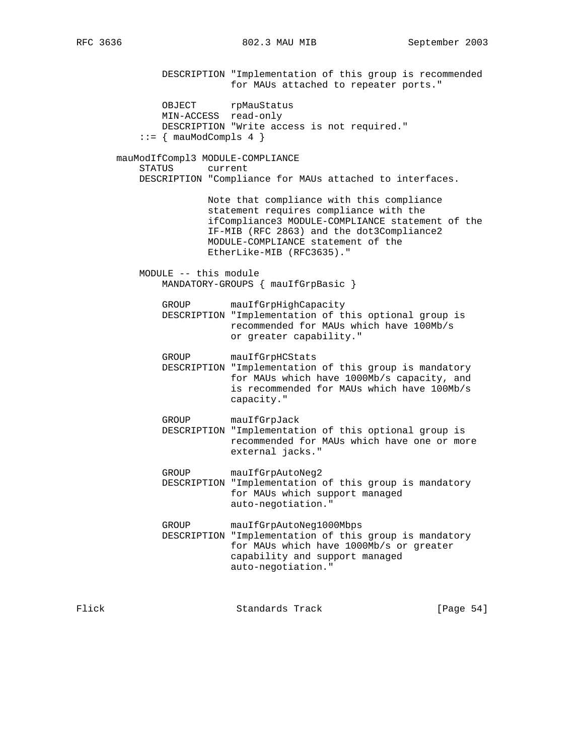DESCRIPTION "Implementation of this group is recommended for MAUs attached to repeater ports."

OBJECT rpMauStatus MIN-ACCESS read-only DESCRIPTION "Write access is not required."  $::=$  { mauModCompls 4 }

 mauModIfCompl3 MODULE-COMPLIANCE STATUS current DESCRIPTION "Compliance for MAUs attached to interfaces.

> Note that compliance with this compliance statement requires compliance with the ifCompliance3 MODULE-COMPLIANCE statement of the IF-MIB (RFC 2863) and the dot3Compliance2 MODULE-COMPLIANCE statement of the EtherLike-MIB (RFC3635)."

 MODULE -- this module MANDATORY-GROUPS { mauIfGrpBasic }

> GROUP mauIfGrpHighCapacity DESCRIPTION "Implementation of this optional group is recommended for MAUs which have 100Mb/s or greater capability."

GROUP mauIfGrpHCStats

 DESCRIPTION "Implementation of this group is mandatory for MAUs which have 1000Mb/s capacity, and is recommended for MAUs which have 100Mb/s capacity."

 GROUP mauIfGrpJack DESCRIPTION "Implementation of this optional group is recommended for MAUs which have one or more external jacks."

 GROUP mauIfGrpAutoNeg2 DESCRIPTION "Implementation of this group is mandatory for MAUs which support managed auto-negotiation."

 GROUP mauIfGrpAutoNeg1000Mbps DESCRIPTION "Implementation of this group is mandatory for MAUs which have 1000Mb/s or greater capability and support managed auto-negotiation."

Flick Standards Track [Page 54]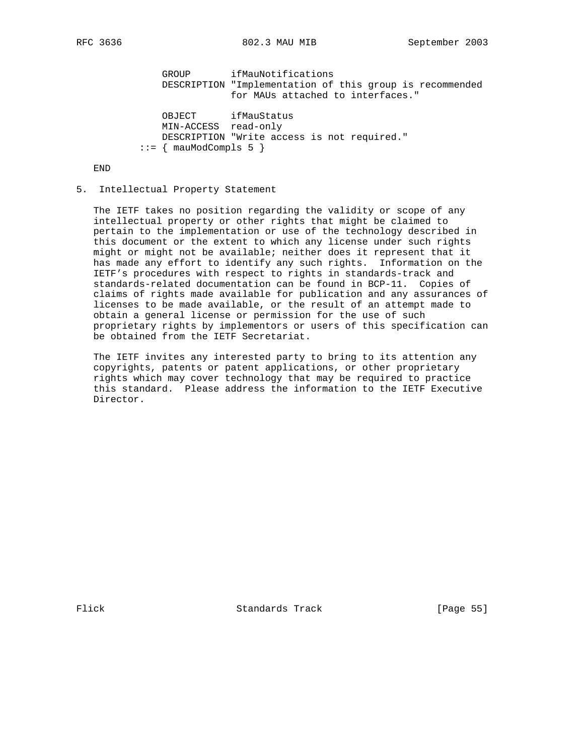GROUP ifMauNotifications DESCRIPTION "Implementation of this group is recommended for MAUs attached to interfaces." OBJECT ifMauStatus MIN-ACCESS read-only DESCRIPTION "Write access is not required."

 $::=$  { mauModCompls 5 }

END

#### 5. Intellectual Property Statement

 The IETF takes no position regarding the validity or scope of any intellectual property or other rights that might be claimed to pertain to the implementation or use of the technology described in this document or the extent to which any license under such rights might or might not be available; neither does it represent that it has made any effort to identify any such rights. Information on the IETF's procedures with respect to rights in standards-track and standards-related documentation can be found in BCP-11. Copies of claims of rights made available for publication and any assurances of licenses to be made available, or the result of an attempt made to obtain a general license or permission for the use of such proprietary rights by implementors or users of this specification can be obtained from the IETF Secretariat.

 The IETF invites any interested party to bring to its attention any copyrights, patents or patent applications, or other proprietary rights which may cover technology that may be required to practice this standard. Please address the information to the IETF Executive Director.

Flick **Standards Track** [Page 55]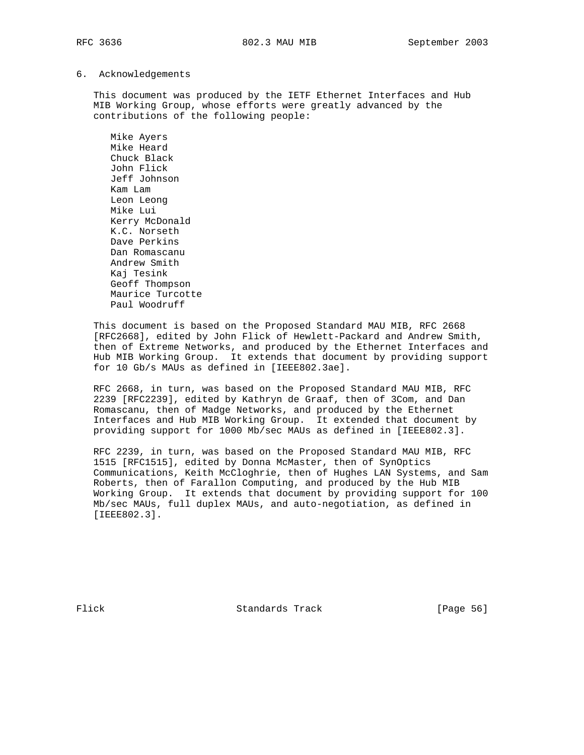6. Acknowledgements

 This document was produced by the IETF Ethernet Interfaces and Hub MIB Working Group, whose efforts were greatly advanced by the contributions of the following people:

 Mike Ayers Mike Heard Chuck Black John Flick Jeff Johnson Kam Lam Leon Leong Mike Lui Kerry McDonald K.C. Norseth Dave Perkins Dan Romascanu Andrew Smith Kaj Tesink Geoff Thompson Maurice Turcotte Paul Woodruff

 This document is based on the Proposed Standard MAU MIB, RFC 2668 [RFC2668], edited by John Flick of Hewlett-Packard and Andrew Smith, then of Extreme Networks, and produced by the Ethernet Interfaces and Hub MIB Working Group. It extends that document by providing support for 10 Gb/s MAUs as defined in [IEEE802.3ae].

 RFC 2668, in turn, was based on the Proposed Standard MAU MIB, RFC 2239 [RFC2239], edited by Kathryn de Graaf, then of 3Com, and Dan Romascanu, then of Madge Networks, and produced by the Ethernet Interfaces and Hub MIB Working Group. It extended that document by providing support for 1000 Mb/sec MAUs as defined in [IEEE802.3].

 RFC 2239, in turn, was based on the Proposed Standard MAU MIB, RFC 1515 [RFC1515], edited by Donna McMaster, then of SynOptics Communications, Keith McCloghrie, then of Hughes LAN Systems, and Sam Roberts, then of Farallon Computing, and produced by the Hub MIB Working Group. It extends that document by providing support for 100 Mb/sec MAUs, full duplex MAUs, and auto-negotiation, as defined in [IEEE802.3].

Flick Standards Track [Page 56]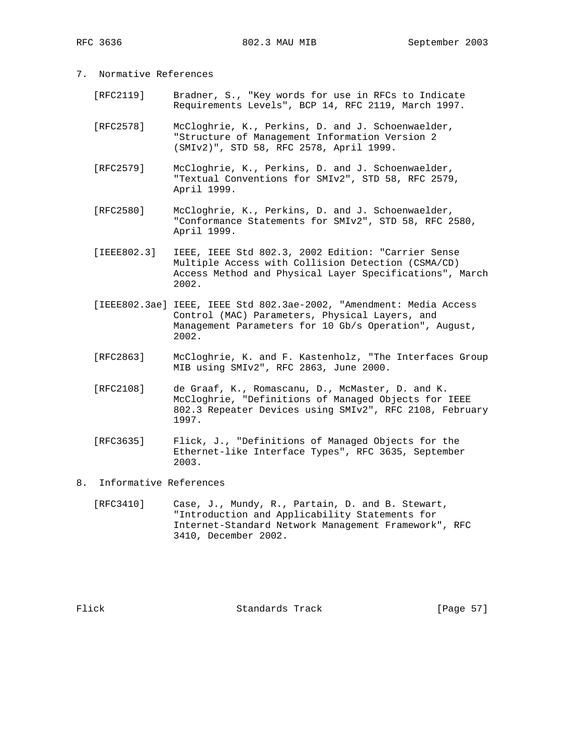- 7. Normative References
	- [RFC2119] Bradner, S., "Key words for use in RFCs to Indicate Requirements Levels", BCP 14, RFC 2119, March 1997.
	- [RFC2578] McCloghrie, K., Perkins, D. and J. Schoenwaelder, "Structure of Management Information Version 2 (SMIv2)", STD 58, RFC 2578, April 1999.
	- [RFC2579] McCloghrie, K., Perkins, D. and J. Schoenwaelder, "Textual Conventions for SMIv2", STD 58, RFC 2579, April 1999.
	- [RFC2580] McCloghrie, K., Perkins, D. and J. Schoenwaelder, "Conformance Statements for SMIv2", STD 58, RFC 2580, April 1999.
	- [IEEE802.3] IEEE, IEEE Std 802.3, 2002 Edition: "Carrier Sense Multiple Access with Collision Detection (CSMA/CD) Access Method and Physical Layer Specifications", March 2002.
	- [IEEE802.3ae] IEEE, IEEE Std 802.3ae-2002, "Amendment: Media Access Control (MAC) Parameters, Physical Layers, and Management Parameters for 10 Gb/s Operation", August, 2002.
	- [RFC2863] McCloghrie, K. and F. Kastenholz, "The Interfaces Group MIB using SMIv2", RFC 2863, June 2000.
	- [RFC2108] de Graaf, K., Romascanu, D., McMaster, D. and K. McCloghrie, "Definitions of Managed Objects for IEEE 802.3 Repeater Devices using SMIv2", RFC 2108, February 1997.
	- [RFC3635] Flick, J., "Definitions of Managed Objects for the Ethernet-like Interface Types", RFC 3635, September 2003.
- 8. Informative References
	- [RFC3410] Case, J., Mundy, R., Partain, D. and B. Stewart, "Introduction and Applicability Statements for Internet-Standard Network Management Framework", RFC 3410, December 2002.

Flick Standards Track [Page 57]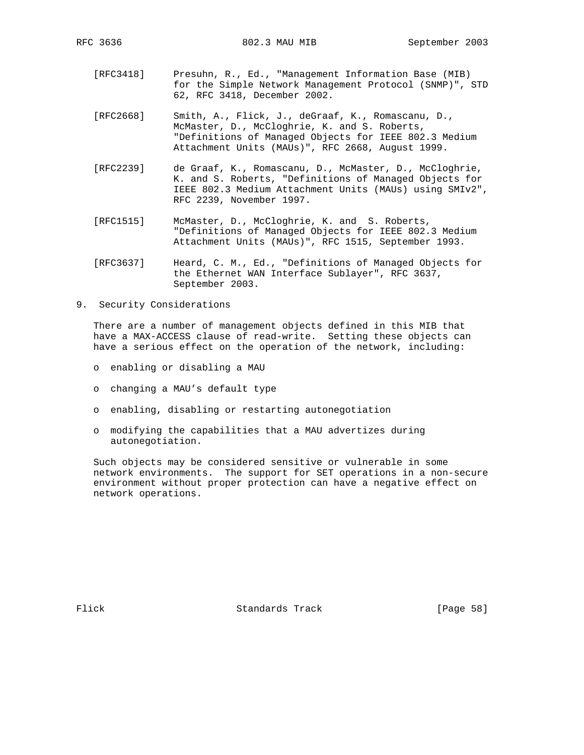- [RFC3418] Presuhn, R., Ed., "Management Information Base (MIB) for the Simple Network Management Protocol (SNMP)", STD 62, RFC 3418, December 2002.
- [RFC2668] Smith, A., Flick, J., deGraaf, K., Romascanu, D., McMaster, D., McCloghrie, K. and S. Roberts, "Definitions of Managed Objects for IEEE 802.3 Medium Attachment Units (MAUs)", RFC 2668, August 1999.
- [RFC2239] de Graaf, K., Romascanu, D., McMaster, D., McCloghrie, K. and S. Roberts, "Definitions of Managed Objects for IEEE 802.3 Medium Attachment Units (MAUs) using SMIv2", RFC 2239, November 1997.
- [RFC1515] McMaster, D., McCloghrie, K. and S. Roberts, "Definitions of Managed Objects for IEEE 802.3 Medium Attachment Units (MAUs)", RFC 1515, September 1993.
- [RFC3637] Heard, C. M., Ed., "Definitions of Managed Objects for the Ethernet WAN Interface Sublayer", RFC 3637, September 2003.
- 9. Security Considerations

 There are a number of management objects defined in this MIB that have a MAX-ACCESS clause of read-write. Setting these objects can have a serious effect on the operation of the network, including:

- o enabling or disabling a MAU
- o changing a MAU's default type
- o enabling, disabling or restarting autonegotiation
- o modifying the capabilities that a MAU advertizes during autonegotiation.

 Such objects may be considered sensitive or vulnerable in some network environments. The support for SET operations in a non-secure environment without proper protection can have a negative effect on network operations.

Flick Standards Track [Page 58]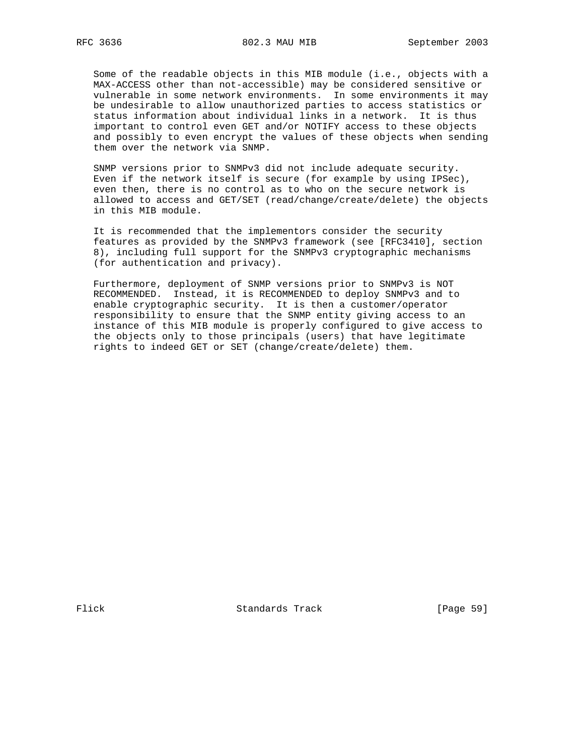Some of the readable objects in this MIB module (i.e., objects with a MAX-ACCESS other than not-accessible) may be considered sensitive or vulnerable in some network environments. In some environments it may be undesirable to allow unauthorized parties to access statistics or status information about individual links in a network. It is thus important to control even GET and/or NOTIFY access to these objects and possibly to even encrypt the values of these objects when sending them over the network via SNMP.

 SNMP versions prior to SNMPv3 did not include adequate security. Even if the network itself is secure (for example by using IPSec), even then, there is no control as to who on the secure network is allowed to access and GET/SET (read/change/create/delete) the objects in this MIB module.

 It is recommended that the implementors consider the security features as provided by the SNMPv3 framework (see [RFC3410], section 8), including full support for the SNMPv3 cryptographic mechanisms (for authentication and privacy).

 Furthermore, deployment of SNMP versions prior to SNMPv3 is NOT RECOMMENDED. Instead, it is RECOMMENDED to deploy SNMPv3 and to enable cryptographic security. It is then a customer/operator responsibility to ensure that the SNMP entity giving access to an instance of this MIB module is properly configured to give access to the objects only to those principals (users) that have legitimate rights to indeed GET or SET (change/create/delete) them.

Flick Standards Track [Page 59]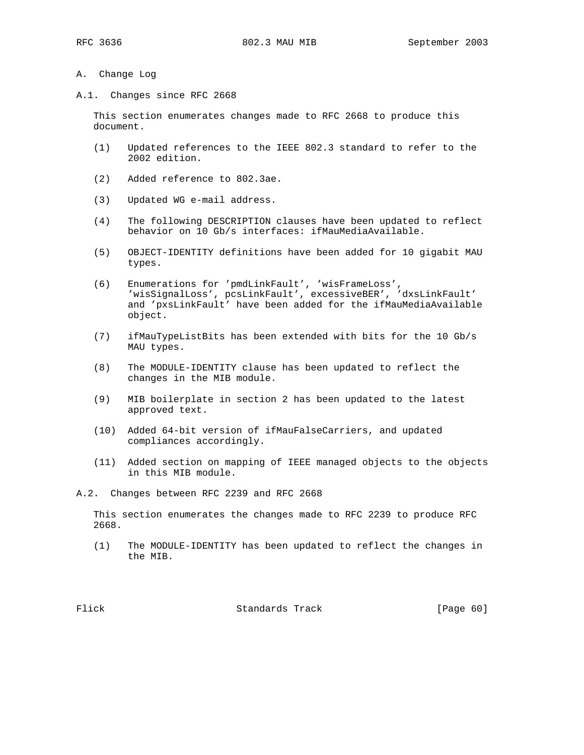- A. Change Log
- A.1. Changes since RFC 2668

 This section enumerates changes made to RFC 2668 to produce this document.

- (1) Updated references to the IEEE 802.3 standard to refer to the 2002 edition.
- (2) Added reference to 802.3ae.
- (3) Updated WG e-mail address.
- (4) The following DESCRIPTION clauses have been updated to reflect behavior on 10 Gb/s interfaces: ifMauMediaAvailable.
- (5) OBJECT-IDENTITY definitions have been added for 10 gigabit MAU types.
- (6) Enumerations for 'pmdLinkFault', 'wisFrameLoss', 'wisSignalLoss', pcsLinkFault', excessiveBER', 'dxsLinkFault' and 'pxsLinkFault' have been added for the ifMauMediaAvailable object.
- (7) ifMauTypeListBits has been extended with bits for the 10 Gb/s MAU types.
- (8) The MODULE-IDENTITY clause has been updated to reflect the changes in the MIB module.
- (9) MIB boilerplate in section 2 has been updated to the latest approved text.
- (10) Added 64-bit version of ifMauFalseCarriers, and updated compliances accordingly.
- (11) Added section on mapping of IEEE managed objects to the objects in this MIB module.

A.2. Changes between RFC 2239 and RFC 2668

 This section enumerates the changes made to RFC 2239 to produce RFC 2668.

 (1) The MODULE-IDENTITY has been updated to reflect the changes in the MIB.

Flick Standards Track [Page 60]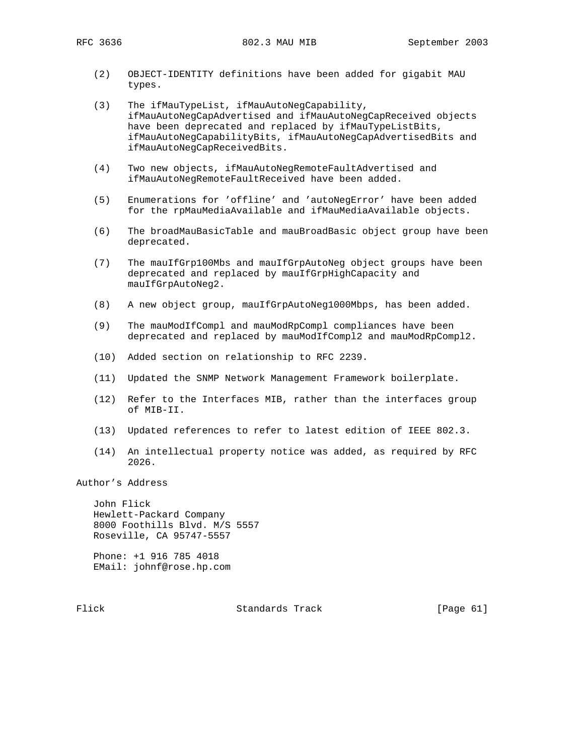- (2) OBJECT-IDENTITY definitions have been added for gigabit MAU types.
- (3) The ifMauTypeList, ifMauAutoNegCapability, ifMauAutoNegCapAdvertised and ifMauAutoNegCapReceived objects have been deprecated and replaced by ifMauTypeListBits, ifMauAutoNegCapabilityBits, ifMauAutoNegCapAdvertisedBits and ifMauAutoNegCapReceivedBits.
- (4) Two new objects, ifMauAutoNegRemoteFaultAdvertised and ifMauAutoNegRemoteFaultReceived have been added.
- (5) Enumerations for 'offline' and 'autoNegError' have been added for the rpMauMediaAvailable and ifMauMediaAvailable objects.
- (6) The broadMauBasicTable and mauBroadBasic object group have been deprecated.
- (7) The mauIfGrp100Mbs and mauIfGrpAutoNeg object groups have been deprecated and replaced by mauIfGrpHighCapacity and mauIfGrpAutoNeg2.
- (8) A new object group, mauIfGrpAutoNeg1000Mbps, has been added.
- (9) The mauModIfCompl and mauModRpCompl compliances have been deprecated and replaced by mauModIfCompl2 and mauModRpCompl2.
- (10) Added section on relationship to RFC 2239.
- (11) Updated the SNMP Network Management Framework boilerplate.
- (12) Refer to the Interfaces MIB, rather than the interfaces group of MIB-II.
- (13) Updated references to refer to latest edition of IEEE 802.3.
- (14) An intellectual property notice was added, as required by RFC 2026.

Author's Address

 John Flick Hewlett-Packard Company 8000 Foothills Blvd. M/S 5557 Roseville, CA 95747-5557

 Phone: +1 916 785 4018 EMail: johnf@rose.hp.com

Flick Standards Track [Page 61]